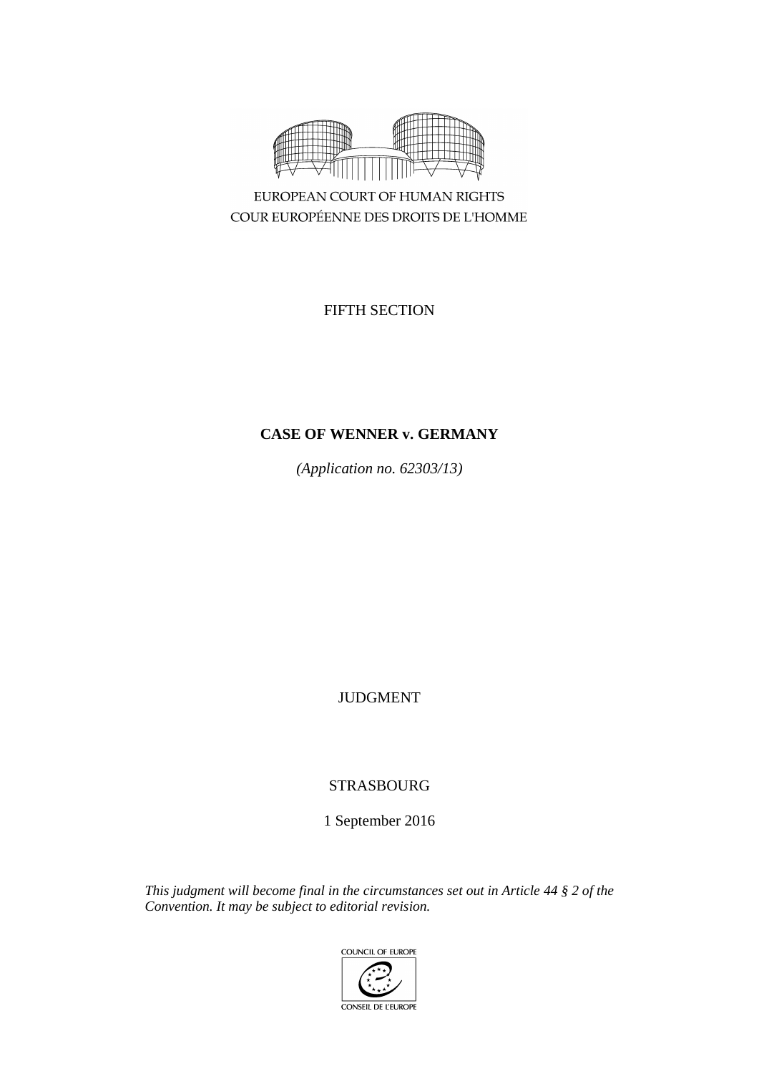

COUR EUROPÉENNE DES DROITS DE L'HOMME

FIFTH SECTION

# **CASE OF WENNER v. GERMANY**

*(Application no. 62303/13)*

JUDGMENT

STRASBOURG

1 September 2016

*This judgment will become final in the circumstances set out in Article 44 § 2 of the Convention. It may be subject to editorial revision.*

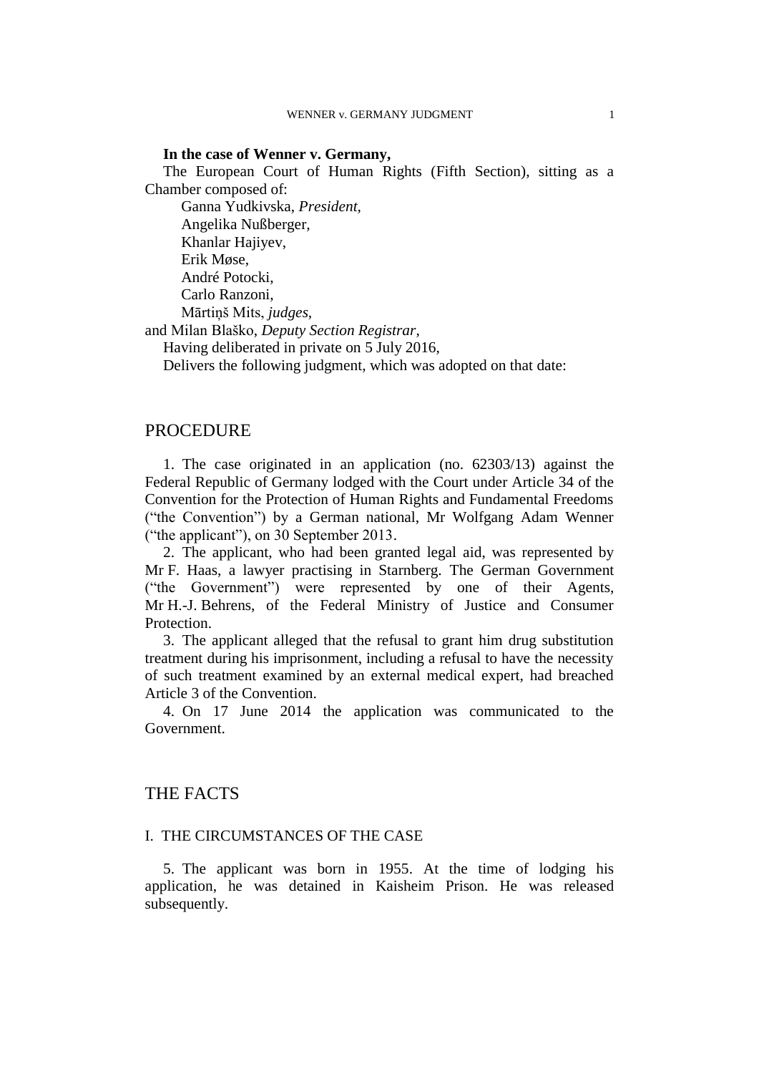# **In the case of Wenner v. Germany,**

The European Court of Human Rights (Fifth Section), sitting as a Chamber composed of:

Ganna Yudkivska, *President,* Angelika Nußberger, Khanlar Hajiyev, Erik Møse, André Potocki, Carlo Ranzoni, Mārtiņš Mits, *judges,*

and Milan Blaško, *Deputy Section Registrar*,

Having deliberated in private on 5 July 2016,

Delivers the following judgment, which was adopted on that date:

# PROCEDURE

1. The case originated in an application (no. 62303/13) against the Federal Republic of Germany lodged with the Court under Article 34 of the Convention for the Protection of Human Rights and Fundamental Freedoms ("the Convention") by a German national, Mr Wolfgang Adam Wenner ("the applicant"), on 30 September 2013.

2. The applicant, who had been granted legal aid, was represented by Mr F. Haas, a lawyer practising in Starnberg. The German Government ("the Government") were represented by one of their Agents, Mr H.-J. Behrens, of the Federal Ministry of Justice and Consumer Protection.

3. The applicant alleged that the refusal to grant him drug substitution treatment during his imprisonment, including a refusal to have the necessity of such treatment examined by an external medical expert, had breached Article 3 of the Convention.

4. On 17 June 2014 the application was communicated to the Government.

# THE FACTS

### I. THE CIRCUMSTANCES OF THE CASE

5. The applicant was born in 1955. At the time of lodging his application, he was detained in Kaisheim Prison. He was released subsequently.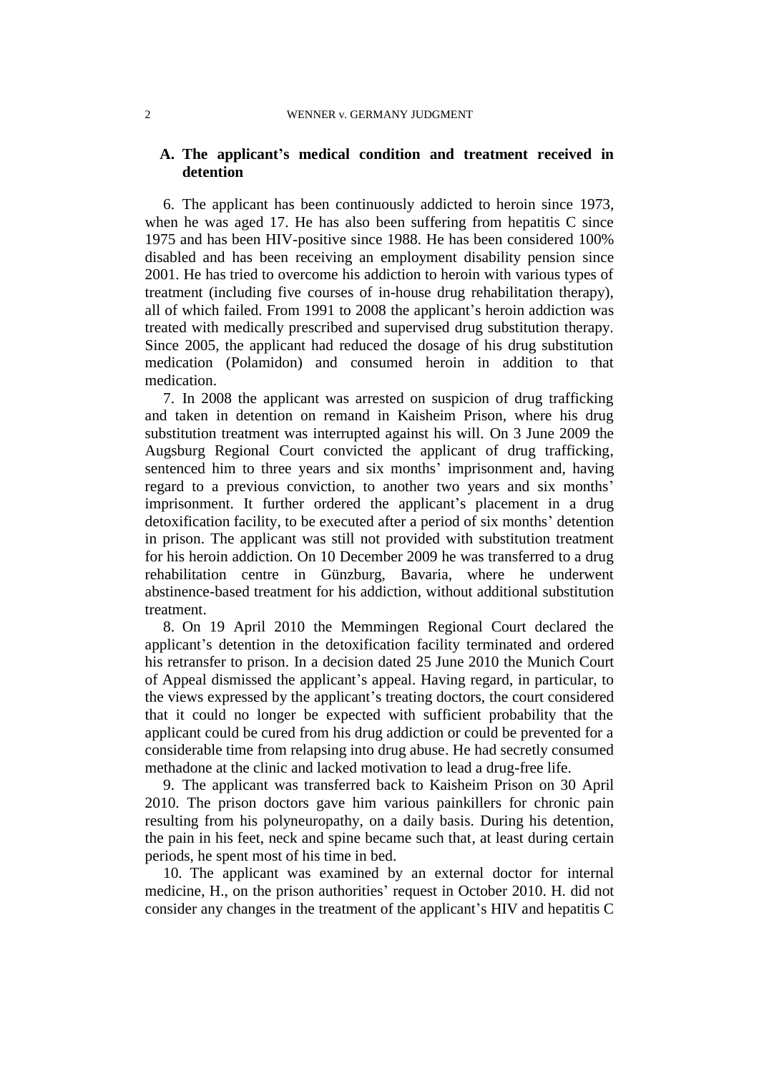# **A. The applicant's medical condition and treatment received in detention**

6. The applicant has been continuously addicted to heroin since 1973, when he was aged 17. He has also been suffering from hepatitis C since 1975 and has been HIV-positive since 1988. He has been considered 100% disabled and has been receiving an employment disability pension since 2001. He has tried to overcome his addiction to heroin with various types of treatment (including five courses of in-house drug rehabilitation therapy), all of which failed. From 1991 to 2008 the applicant's heroin addiction was treated with medically prescribed and supervised drug substitution therapy. Since 2005, the applicant had reduced the dosage of his drug substitution medication (Polamidon) and consumed heroin in addition to that medication.

7. In 2008 the applicant was arrested on suspicion of drug trafficking and taken in detention on remand in Kaisheim Prison, where his drug substitution treatment was interrupted against his will. On 3 June 2009 the Augsburg Regional Court convicted the applicant of drug trafficking, sentenced him to three years and six months' imprisonment and, having regard to a previous conviction, to another two years and six months' imprisonment. It further ordered the applicant's placement in a drug detoxification facility, to be executed after a period of six months' detention in prison. The applicant was still not provided with substitution treatment for his heroin addiction. On 10 December 2009 he was transferred to a drug rehabilitation centre in Günzburg, Bavaria, where he underwent abstinence-based treatment for his addiction, without additional substitution treatment.

8. On 19 April 2010 the Memmingen Regional Court declared the applicant's detention in the detoxification facility terminated and ordered his retransfer to prison. In a decision dated 25 June 2010 the Munich Court of Appeal dismissed the applicant's appeal. Having regard, in particular, to the views expressed by the applicant's treating doctors, the court considered that it could no longer be expected with sufficient probability that the applicant could be cured from his drug addiction or could be prevented for a considerable time from relapsing into drug abuse. He had secretly consumed methadone at the clinic and lacked motivation to lead a drug-free life.

9. The applicant was transferred back to Kaisheim Prison on 30 April 2010. The prison doctors gave him various painkillers for chronic pain resulting from his polyneuropathy, on a daily basis. During his detention, the pain in his feet, neck and spine became such that, at least during certain periods, he spent most of his time in bed.

10. The applicant was examined by an external doctor for internal medicine, H., on the prison authorities' request in October 2010. H. did not consider any changes in the treatment of the applicant's HIV and hepatitis C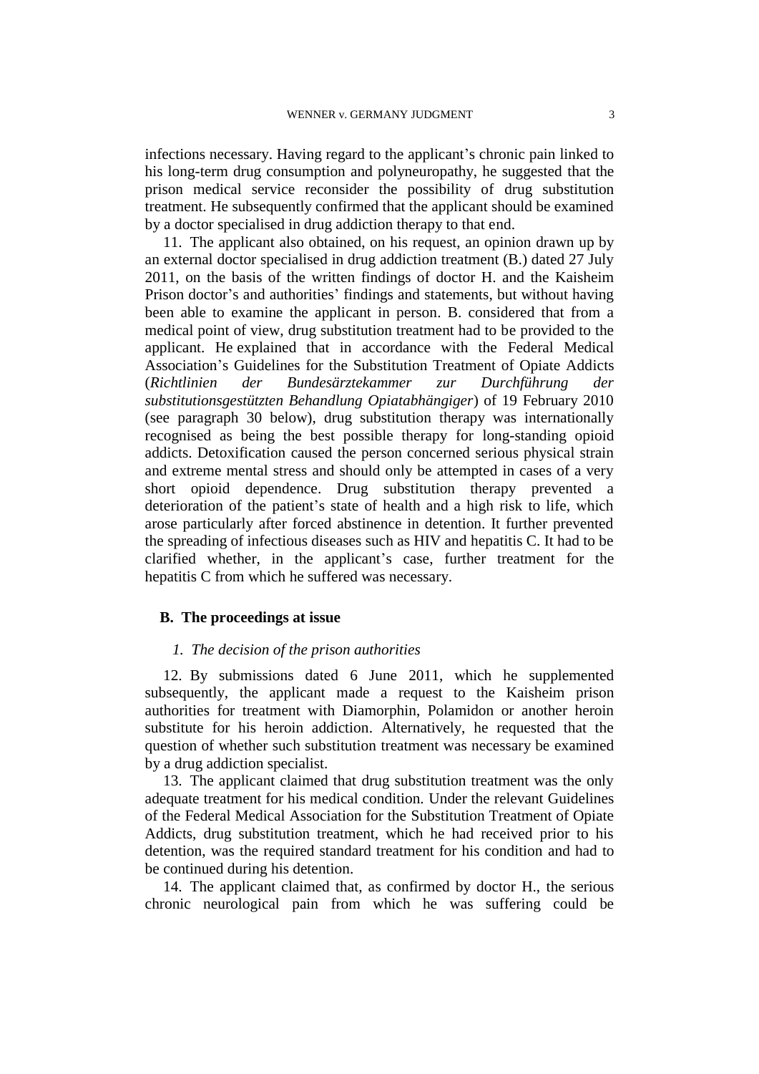infections necessary. Having regard to the applicant's chronic pain linked to his long-term drug consumption and polyneuropathy, he suggested that the prison medical service reconsider the possibility of drug substitution treatment. He subsequently confirmed that the applicant should be examined by a doctor specialised in drug addiction therapy to that end.

11. The applicant also obtained, on his request, an opinion drawn up by an external doctor specialised in drug addiction treatment (B.) dated 27 July 2011, on the basis of the written findings of doctor H. and the Kaisheim Prison doctor's and authorities' findings and statements, but without having been able to examine the applicant in person. B. considered that from a medical point of view, drug substitution treatment had to be provided to the applicant. He explained that in accordance with the Federal Medical Association's Guidelines for the Substitution Treatment of Opiate Addicts (*Richtlinien der Bundesärztekammer zur Durchführung der substitutionsgestützten Behandlung Opiatabhängiger*) of 19 February 2010 (see paragraph 30 below), drug substitution therapy was internationally recognised as being the best possible therapy for long-standing opioid addicts. Detoxification caused the person concerned serious physical strain and extreme mental stress and should only be attempted in cases of a very short opioid dependence. Drug substitution therapy prevented a deterioration of the patient's state of health and a high risk to life, which arose particularly after forced abstinence in detention. It further prevented the spreading of infectious diseases such as HIV and hepatitis C. It had to be clarified whether, in the applicant's case, further treatment for the hepatitis C from which he suffered was necessary.

## **B. The proceedings at issue**

### *1. The decision of the prison authorities*

12. By submissions dated 6 June 2011, which he supplemented subsequently, the applicant made a request to the Kaisheim prison authorities for treatment with Diamorphin, Polamidon or another heroin substitute for his heroin addiction. Alternatively, he requested that the question of whether such substitution treatment was necessary be examined by a drug addiction specialist.

13. The applicant claimed that drug substitution treatment was the only adequate treatment for his medical condition. Under the relevant Guidelines of the Federal Medical Association for the Substitution Treatment of Opiate Addicts, drug substitution treatment, which he had received prior to his detention, was the required standard treatment for his condition and had to be continued during his detention.

14. The applicant claimed that, as confirmed by doctor H., the serious chronic neurological pain from which he was suffering could be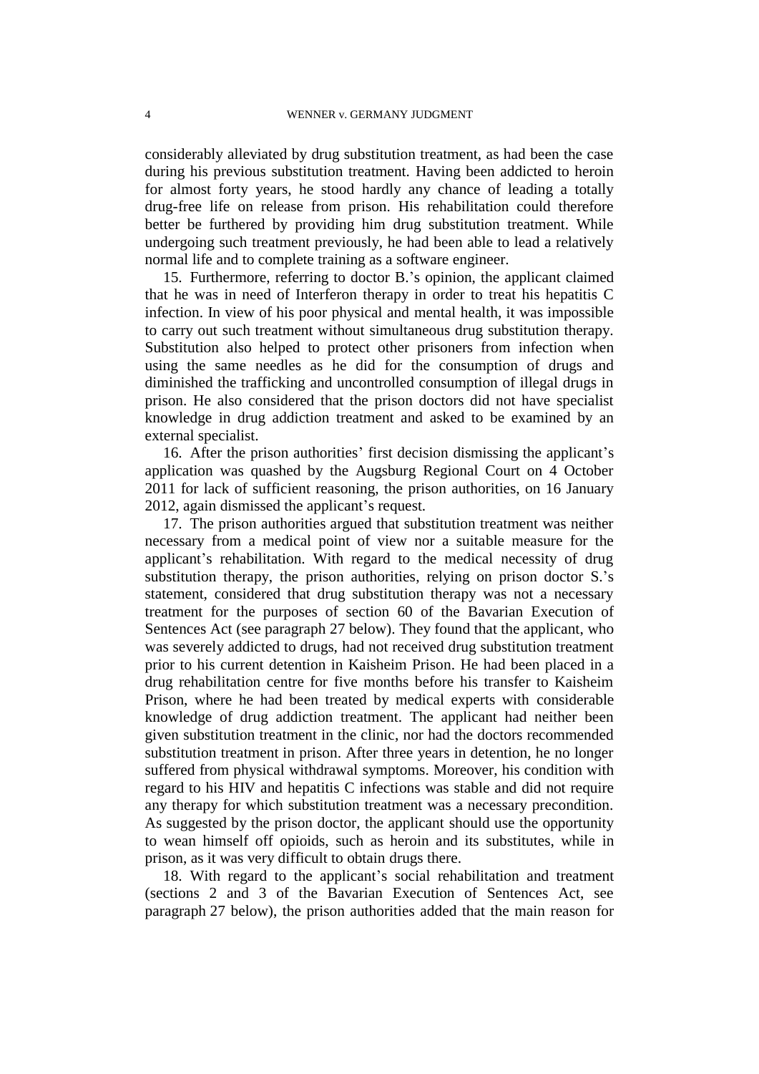considerably alleviated by drug substitution treatment, as had been the case during his previous substitution treatment. Having been addicted to heroin for almost forty years, he stood hardly any chance of leading a totally drug-free life on release from prison. His rehabilitation could therefore better be furthered by providing him drug substitution treatment. While undergoing such treatment previously, he had been able to lead a relatively normal life and to complete training as a software engineer.

15. Furthermore, referring to doctor B.'s opinion, the applicant claimed that he was in need of Interferon therapy in order to treat his hepatitis C infection. In view of his poor physical and mental health, it was impossible to carry out such treatment without simultaneous drug substitution therapy. Substitution also helped to protect other prisoners from infection when using the same needles as he did for the consumption of drugs and diminished the trafficking and uncontrolled consumption of illegal drugs in prison. He also considered that the prison doctors did not have specialist knowledge in drug addiction treatment and asked to be examined by an external specialist.

16. After the prison authorities' first decision dismissing the applicant's application was quashed by the Augsburg Regional Court on 4 October 2011 for lack of sufficient reasoning, the prison authorities, on 16 January 2012, again dismissed the applicant's request.

17. The prison authorities argued that substitution treatment was neither necessary from a medical point of view nor a suitable measure for the applicant's rehabilitation. With regard to the medical necessity of drug substitution therapy, the prison authorities, relying on prison doctor S.'s statement, considered that drug substitution therapy was not a necessary treatment for the purposes of section 60 of the Bavarian Execution of Sentences Act (see paragraph 27 below). They found that the applicant, who was severely addicted to drugs, had not received drug substitution treatment prior to his current detention in Kaisheim Prison. He had been placed in a drug rehabilitation centre for five months before his transfer to Kaisheim Prison, where he had been treated by medical experts with considerable knowledge of drug addiction treatment. The applicant had neither been given substitution treatment in the clinic, nor had the doctors recommended substitution treatment in prison. After three years in detention, he no longer suffered from physical withdrawal symptoms. Moreover, his condition with regard to his HIV and hepatitis C infections was stable and did not require any therapy for which substitution treatment was a necessary precondition. As suggested by the prison doctor, the applicant should use the opportunity to wean himself off opioids, such as heroin and its substitutes, while in prison, as it was very difficult to obtain drugs there.

18. With regard to the applicant's social rehabilitation and treatment (sections 2 and 3 of the Bavarian Execution of Sentences Act, see paragraph 27 below), the prison authorities added that the main reason for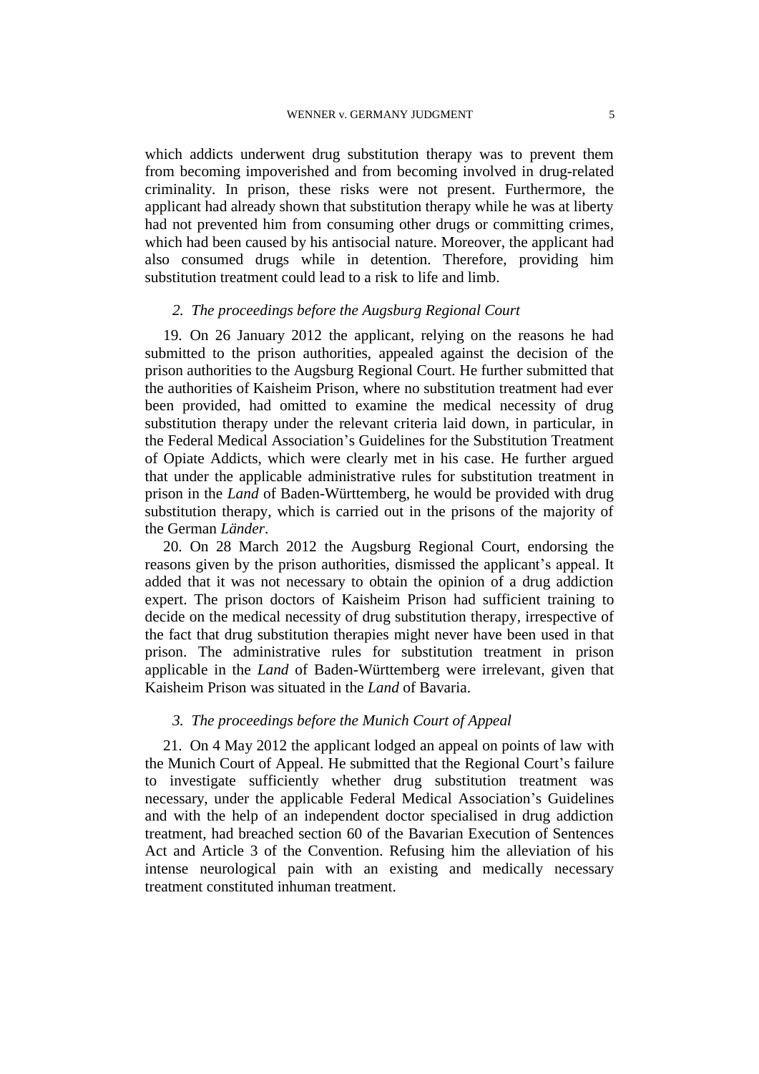which addicts underwent drug substitution therapy was to prevent them from becoming impoverished and from becoming involved in drug-related criminality. In prison, these risks were not present. Furthermore, the applicant had already shown that substitution therapy while he was at liberty had not prevented him from consuming other drugs or committing crimes, which had been caused by his antisocial nature. Moreover, the applicant had also consumed drugs while in detention. Therefore, providing him substitution treatment could lead to a risk to life and limb.

### *2. The proceedings before the Augsburg Regional Court*

19. On 26 January 2012 the applicant, relying on the reasons he had submitted to the prison authorities, appealed against the decision of the prison authorities to the Augsburg Regional Court. He further submitted that the authorities of Kaisheim Prison, where no substitution treatment had ever been provided, had omitted to examine the medical necessity of drug substitution therapy under the relevant criteria laid down, in particular, in the Federal Medical Association's Guidelines for the Substitution Treatment of Opiate Addicts, which were clearly met in his case. He further argued that under the applicable administrative rules for substitution treatment in prison in the *Land* of Baden-Württemberg, he would be provided with drug substitution therapy, which is carried out in the prisons of the majority of the German *Länder*.

20. On 28 March 2012 the Augsburg Regional Court, endorsing the reasons given by the prison authorities, dismissed the applicant's appeal. It added that it was not necessary to obtain the opinion of a drug addiction expert. The prison doctors of Kaisheim Prison had sufficient training to decide on the medical necessity of drug substitution therapy, irrespective of the fact that drug substitution therapies might never have been used in that prison. The administrative rules for substitution treatment in prison applicable in the *Land* of Baden-Württemberg were irrelevant, given that Kaisheim Prison was situated in the *Land* of Bavaria.

## *3. The proceedings before the Munich Court of Appeal*

21. On 4 May 2012 the applicant lodged an appeal on points of law with the Munich Court of Appeal. He submitted that the Regional Court's failure to investigate sufficiently whether drug substitution treatment was necessary, under the applicable Federal Medical Association's Guidelines and with the help of an independent doctor specialised in drug addiction treatment, had breached section 60 of the Bavarian Execution of Sentences Act and Article 3 of the Convention. Refusing him the alleviation of his intense neurological pain with an existing and medically necessary treatment constituted inhuman treatment.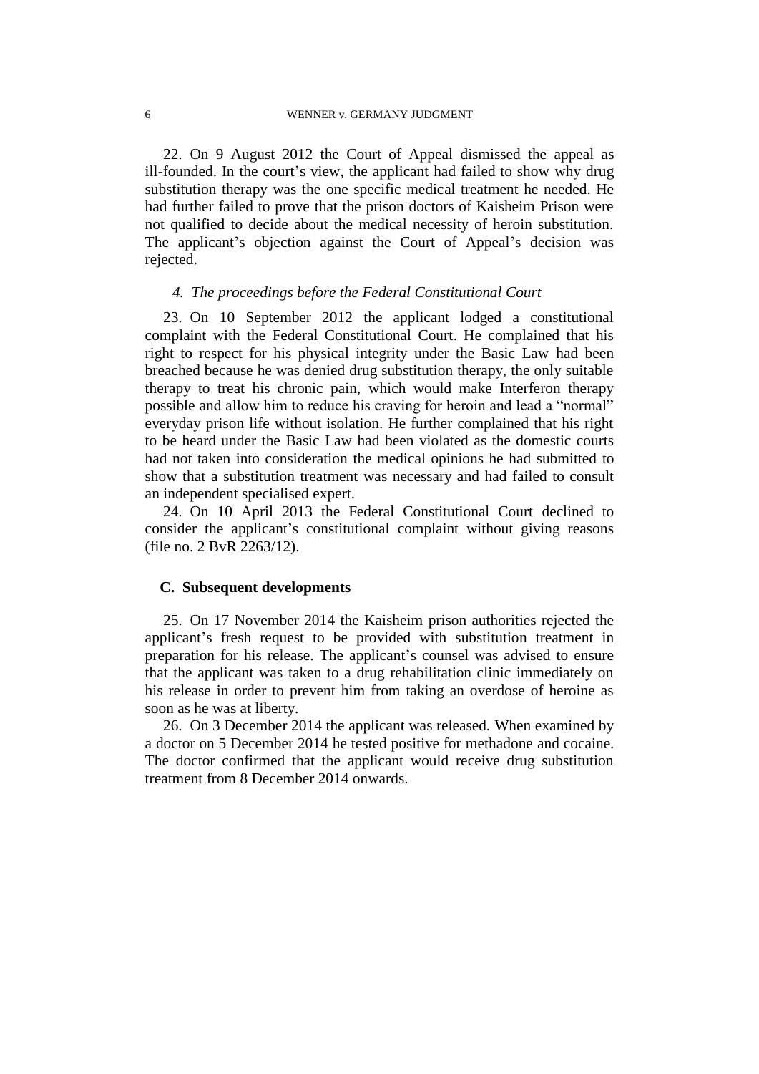22. On 9 August 2012 the Court of Appeal dismissed the appeal as ill-founded. In the court's view, the applicant had failed to show why drug substitution therapy was the one specific medical treatment he needed. He had further failed to prove that the prison doctors of Kaisheim Prison were not qualified to decide about the medical necessity of heroin substitution. The applicant's objection against the Court of Appeal's decision was rejected.

## *4. The proceedings before the Federal Constitutional Court*

23. On 10 September 2012 the applicant lodged a constitutional complaint with the Federal Constitutional Court. He complained that his right to respect for his physical integrity under the Basic Law had been breached because he was denied drug substitution therapy, the only suitable therapy to treat his chronic pain, which would make Interferon therapy possible and allow him to reduce his craving for heroin and lead a "normal" everyday prison life without isolation. He further complained that his right to be heard under the Basic Law had been violated as the domestic courts had not taken into consideration the medical opinions he had submitted to show that a substitution treatment was necessary and had failed to consult an independent specialised expert.

24. On 10 April 2013 the Federal Constitutional Court declined to consider the applicant's constitutional complaint without giving reasons (file no. 2 BvR 2263/12).

### **C. Subsequent developments**

25. On 17 November 2014 the Kaisheim prison authorities rejected the applicant's fresh request to be provided with substitution treatment in preparation for his release. The applicant's counsel was advised to ensure that the applicant was taken to a drug rehabilitation clinic immediately on his release in order to prevent him from taking an overdose of heroine as soon as he was at liberty.

26. On 3 December 2014 the applicant was released. When examined by a doctor on 5 December 2014 he tested positive for methadone and cocaine. The doctor confirmed that the applicant would receive drug substitution treatment from 8 December 2014 onwards.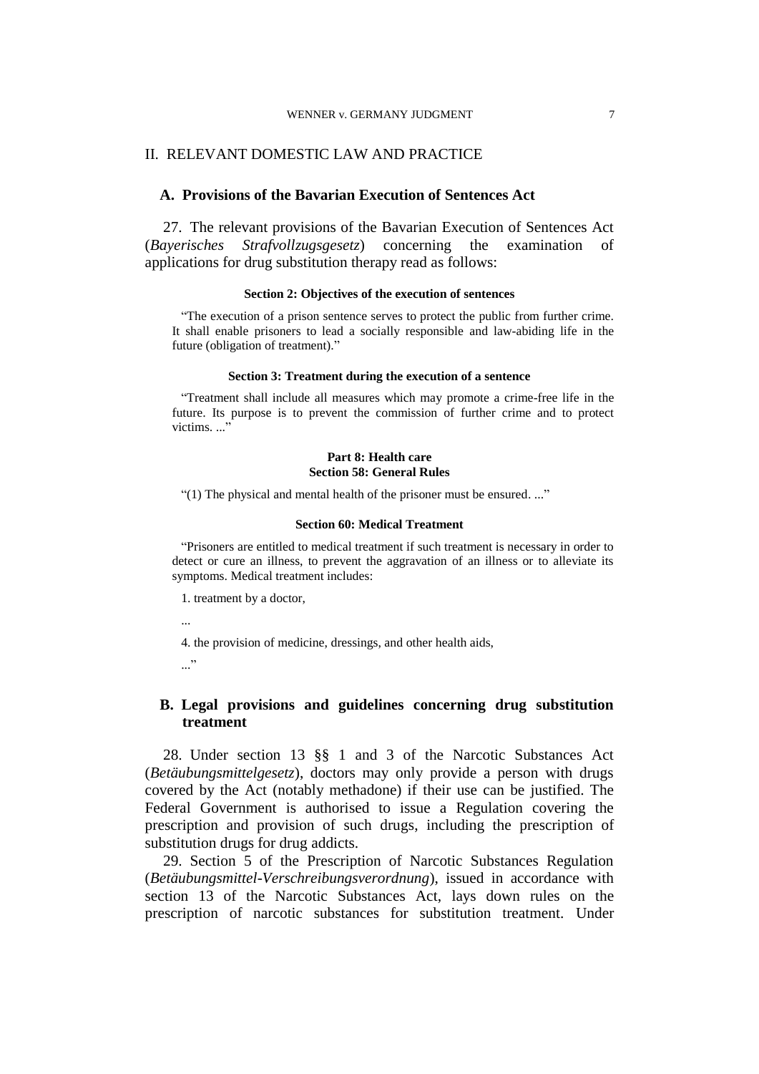#### WENNER v. GERMANY JUDGMENT 7

## II. RELEVANT DOMESTIC LAW AND PRACTICE

# **A. Provisions of the Bavarian Execution of Sentences Act**

27. The relevant provisions of the Bavarian Execution of Sentences Act (*Bayerisches Strafvollzugsgesetz*) concerning the examination of applications for drug substitution therapy read as follows:

### **Section 2: Objectives of the execution of sentences**

"The execution of a prison sentence serves to protect the public from further crime. It shall enable prisoners to lead a socially responsible and law-abiding life in the future (obligation of treatment)."

### **Section 3: Treatment during the execution of a sentence**

"Treatment shall include all measures which may promote a crime-free life in the future. Its purpose is to prevent the commission of further crime and to protect victims...."

### **Part 8: Health care Section 58: General Rules**

"(1) The physical and mental health of the prisoner must be ensured. ..."

### **Section 60: Medical Treatment**

"Prisoners are entitled to medical treatment if such treatment is necessary in order to detect or cure an illness, to prevent the aggravation of an illness or to alleviate its symptoms. Medical treatment includes:

1. treatment by a doctor,

...

4. the provision of medicine, dressings, and other health aids,

 $\cdots$ 

# **B. Legal provisions and guidelines concerning drug substitution treatment**

28. Under section 13 §§ 1 and 3 of the Narcotic Substances Act (*Betäubungsmittelgesetz*), doctors may only provide a person with drugs covered by the Act (notably methadone) if their use can be justified. The Federal Government is authorised to issue a Regulation covering the prescription and provision of such drugs, including the prescription of substitution drugs for drug addicts.

29. Section 5 of the Prescription of Narcotic Substances Regulation (*Betäubungsmittel-Verschreibungsverordnung*), issued in accordance with section 13 of the Narcotic Substances Act, lays down rules on the prescription of narcotic substances for substitution treatment. Under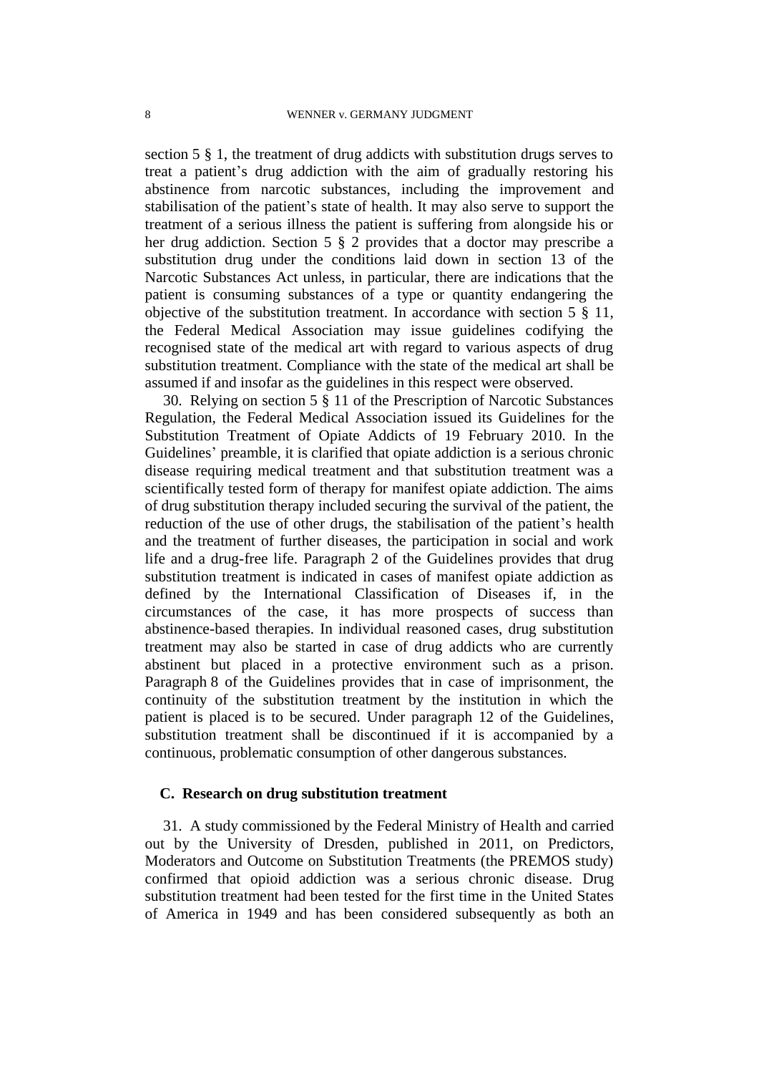section 5 § 1, the treatment of drug addicts with substitution drugs serves to treat a patient's drug addiction with the aim of gradually restoring his abstinence from narcotic substances, including the improvement and stabilisation of the patient's state of health. It may also serve to support the treatment of a serious illness the patient is suffering from alongside his or her drug addiction. Section 5 § 2 provides that a doctor may prescribe a substitution drug under the conditions laid down in section 13 of the Narcotic Substances Act unless, in particular, there are indications that the patient is consuming substances of a type or quantity endangering the objective of the substitution treatment. In accordance with section 5 § 11, the Federal Medical Association may issue guidelines codifying the recognised state of the medical art with regard to various aspects of drug substitution treatment. Compliance with the state of the medical art shall be assumed if and insofar as the guidelines in this respect were observed.

30. Relying on section 5 § 11 of the Prescription of Narcotic Substances Regulation, the Federal Medical Association issued its Guidelines for the Substitution Treatment of Opiate Addicts of 19 February 2010. In the Guidelines' preamble, it is clarified that opiate addiction is a serious chronic disease requiring medical treatment and that substitution treatment was a scientifically tested form of therapy for manifest opiate addiction. The aims of drug substitution therapy included securing the survival of the patient, the reduction of the use of other drugs, the stabilisation of the patient's health and the treatment of further diseases, the participation in social and work life and a drug-free life. Paragraph 2 of the Guidelines provides that drug substitution treatment is indicated in cases of manifest opiate addiction as defined by the International Classification of Diseases if, in the circumstances of the case, it has more prospects of success than abstinence-based therapies. In individual reasoned cases, drug substitution treatment may also be started in case of drug addicts who are currently abstinent but placed in a protective environment such as a prison. Paragraph 8 of the Guidelines provides that in case of imprisonment, the continuity of the substitution treatment by the institution in which the patient is placed is to be secured. Under paragraph 12 of the Guidelines, substitution treatment shall be discontinued if it is accompanied by a continuous, problematic consumption of other dangerous substances.

### **C. Research on drug substitution treatment**

31. A study commissioned by the Federal Ministry of Health and carried out by the University of Dresden, published in 2011, on Predictors, Moderators and Outcome on Substitution Treatments (the PREMOS study) confirmed that opioid addiction was a serious chronic disease. Drug substitution treatment had been tested for the first time in the United States of America in 1949 and has been considered subsequently as both an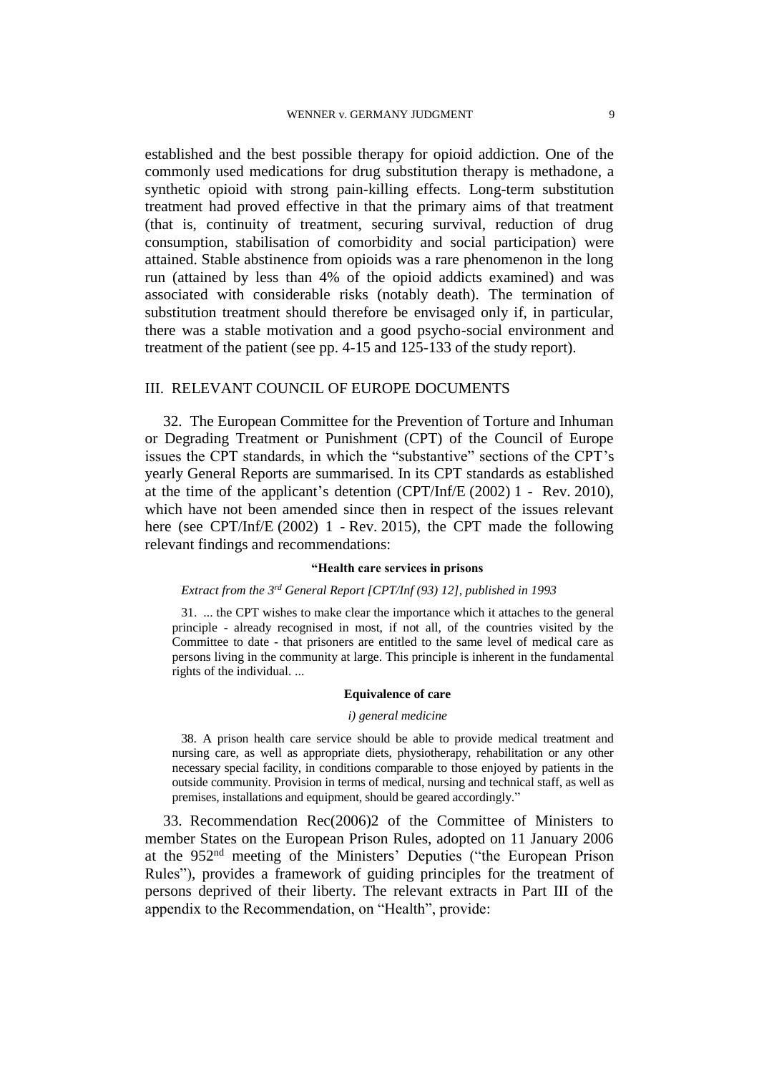established and the best possible therapy for opioid addiction. One of the commonly used medications for drug substitution therapy is methadone, a synthetic opioid with strong pain-killing effects. Long-term substitution treatment had proved effective in that the primary aims of that treatment (that is, continuity of treatment, securing survival, reduction of drug consumption, stabilisation of comorbidity and social participation) were attained. Stable abstinence from opioids was a rare phenomenon in the long run (attained by less than 4% of the opioid addicts examined) and was associated with considerable risks (notably death). The termination of substitution treatment should therefore be envisaged only if, in particular, there was a stable motivation and a good psycho-social environment and treatment of the patient (see pp. 4-15 and 125-133 of the study report).

### III. RELEVANT COUNCIL OF EUROPE DOCUMENTS

32. The European Committee for the Prevention of Torture and Inhuman or Degrading Treatment or Punishment (CPT) of the Council of Europe issues the CPT standards, in which the "substantive" sections of the CPT's yearly General Reports are summarised. In its CPT standards as established at the time of the applicant's detention (CPT/Inf/E (2002) 1 - Rev. 2010), which have not been amended since then in respect of the issues relevant here (see CPT/Inf/E (2002) 1 - Rev. 2015), the CPT made the following relevant findings and recommendations:

### **"Health care services in prisons**

### *Extract from the 3rd General Report [CPT/Inf (93) 12], published in 1993*

31. ... the CPT wishes to make clear the importance which it attaches to the general principle - already recognised in most, if not all, of the countries visited by the Committee to date - that prisoners are entitled to the same level of medical care as persons living in the community at large. This principle is inherent in the fundamental rights of the individual. ...

#### **Equivalence of care**

#### *i) general medicine*

38. A prison health care service should be able to provide medical treatment and nursing care, as well as appropriate diets, physiotherapy, rehabilitation or any other necessary special facility, in conditions comparable to those enjoyed by patients in the outside community. Provision in terms of medical, nursing and technical staff, as well as premises, installations and equipment, should be geared accordingly."

33. Recommendation Rec(2006)2 of the Committee of Ministers to member States on the European Prison Rules, adopted on 11 January 2006 at the 952nd meeting of the Ministers' Deputies ("the European Prison Rules"), provides a framework of guiding principles for the treatment of persons deprived of their liberty. The relevant extracts in Part III of the appendix to the Recommendation, on "Health", provide: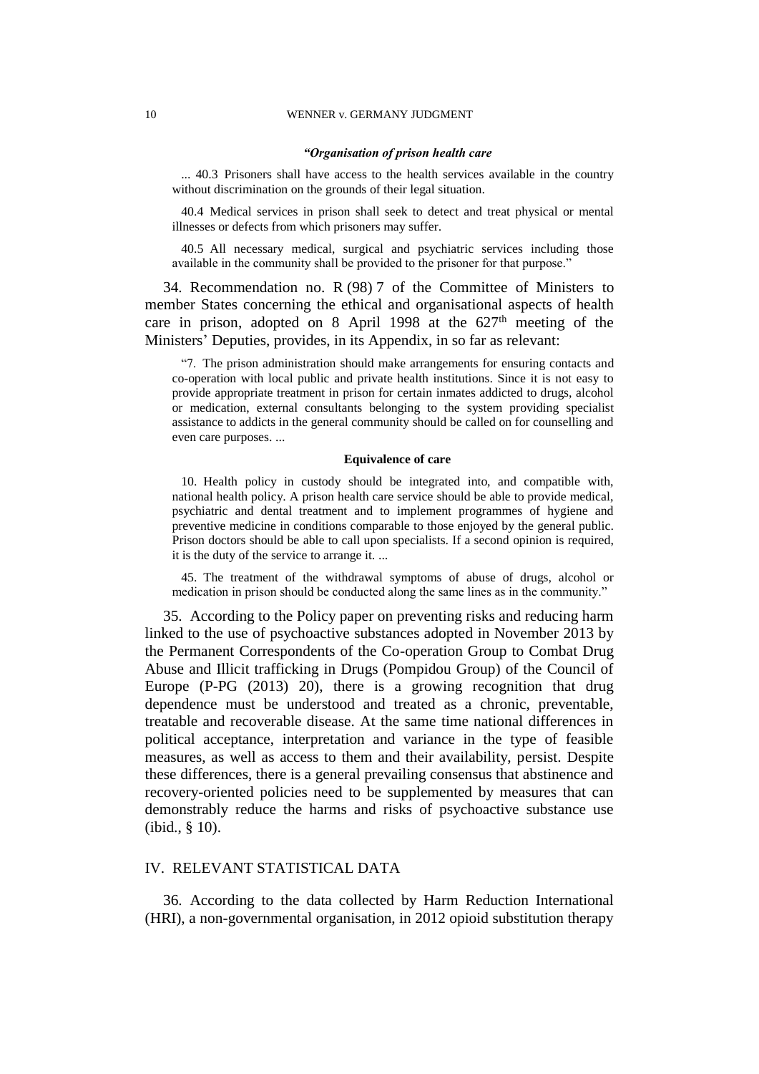#### *"Organisation of prison health care*

... 40.3 Prisoners shall have access to the health services available in the country without discrimination on the grounds of their legal situation.

40.4 Medical services in prison shall seek to detect and treat physical or mental illnesses or defects from which prisoners may suffer.

40.5 All necessary medical, surgical and psychiatric services including those available in the community shall be provided to the prisoner for that purpose."

34. Recommendation no. R (98) 7 of the Committee of Ministers to member States concerning the ethical and organisational aspects of health care in prison, adopted on 8 April 1998 at the  $627<sup>th</sup>$  meeting of the Ministers' Deputies, provides, in its Appendix, in so far as relevant:

"7. The prison administration should make arrangements for ensuring contacts and co-operation with local public and private health institutions. Since it is not easy to provide appropriate treatment in prison for certain inmates addicted to drugs, alcohol or medication, external consultants belonging to the system providing specialist assistance to addicts in the general community should be called on for counselling and even care purposes. ...

### **Equivalence of care**

10. Health policy in custody should be integrated into, and compatible with, national health policy. A prison health care service should be able to provide medical, psychiatric and dental treatment and to implement programmes of hygiene and preventive medicine in conditions comparable to those enjoyed by the general public. Prison doctors should be able to call upon specialists. If a second opinion is required, it is the duty of the service to arrange it. ...

45. The treatment of the withdrawal symptoms of abuse of drugs, alcohol or medication in prison should be conducted along the same lines as in the community."

35. According to the Policy paper on preventing risks and reducing harm linked to the use of psychoactive substances adopted in November 2013 by the Permanent Correspondents of the Co-operation Group to Combat Drug Abuse and Illicit trafficking in Drugs (Pompidou Group) of the Council of Europe (P-PG (2013) 20), there is a growing recognition that drug dependence must be understood and treated as a chronic, preventable, treatable and recoverable disease. At the same time national differences in political acceptance, interpretation and variance in the type of feasible measures, as well as access to them and their availability, persist. Despite these differences, there is a general prevailing consensus that abstinence and recovery-oriented policies need to be supplemented by measures that can demonstrably reduce the harms and risks of psychoactive substance use (ibid., § 10).

## IV. RELEVANT STATISTICAL DATA

36. According to the data collected by Harm Reduction International (HRI), a non-governmental organisation, in 2012 opioid substitution therapy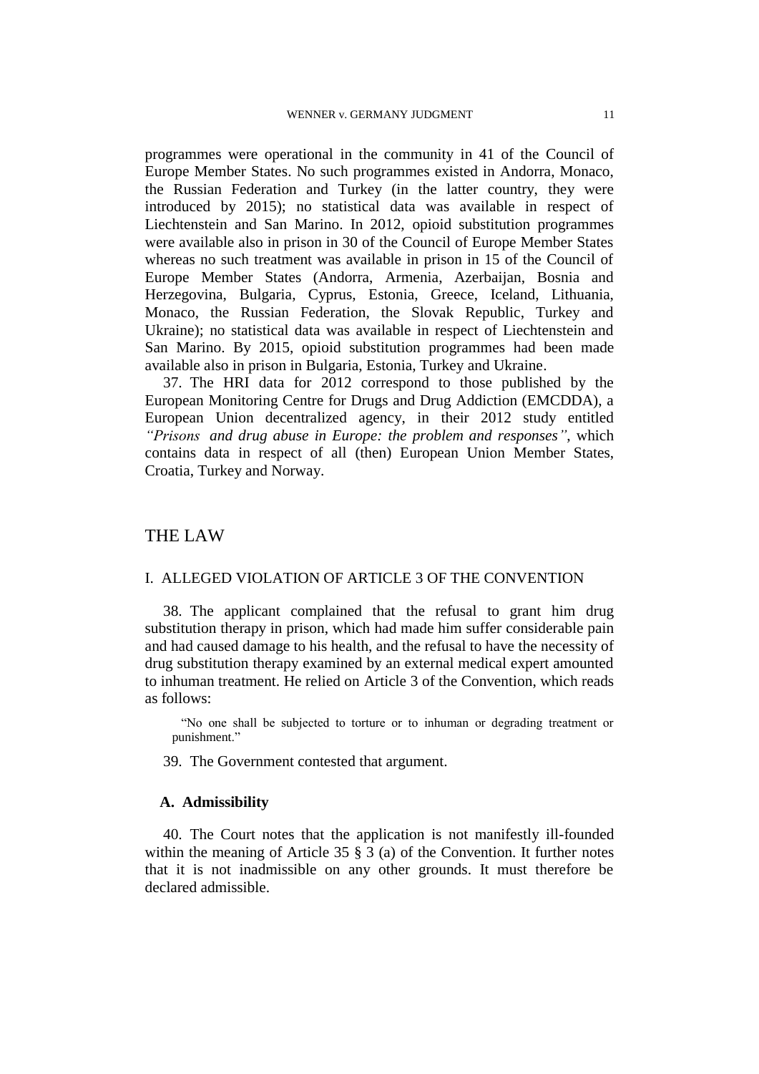programmes were operational in the community in 41 of the Council of Europe Member States. No such programmes existed in Andorra, Monaco, the Russian Federation and Turkey (in the latter country, they were introduced by 2015); no statistical data was available in respect of Liechtenstein and San Marino. In 2012, opioid substitution programmes were available also in prison in 30 of the Council of Europe Member States whereas no such treatment was available in prison in 15 of the Council of Europe Member States (Andorra, Armenia, Azerbaijan, Bosnia and Herzegovina, Bulgaria, Cyprus, Estonia, Greece, Iceland, Lithuania, Monaco, the Russian Federation, the Slovak Republic, Turkey and Ukraine); no statistical data was available in respect of Liechtenstein and San Marino. By 2015, opioid substitution programmes had been made available also in prison in Bulgaria, Estonia, Turkey and Ukraine.

37. The HRI data for 2012 correspond to those published by the European Monitoring Centre for Drugs and Drug Addiction (EMCDDA), a European Union decentralized agency, in their 2012 study entitled *"Prisons and drug abuse in Europe: the problem and responses"*, which contains data in respect of all (then) European Union Member States, Croatia, Turkey and Norway.

# THE LAW

# I. ALLEGED VIOLATION OF ARTICLE 3 OF THE CONVENTION

38. The applicant complained that the refusal to grant him drug substitution therapy in prison, which had made him suffer considerable pain and had caused damage to his health, and the refusal to have the necessity of drug substitution therapy examined by an external medical expert amounted to inhuman treatment. He relied on Article 3 of the Convention, which reads as follows:

"No one shall be subjected to torture or to inhuman or degrading treatment or punishment."

39. The Government contested that argument.

### **A. Admissibility**

40. The Court notes that the application is not manifestly ill-founded within the meaning of Article 35 § 3 (a) of the Convention. It further notes that it is not inadmissible on any other grounds. It must therefore be declared admissible.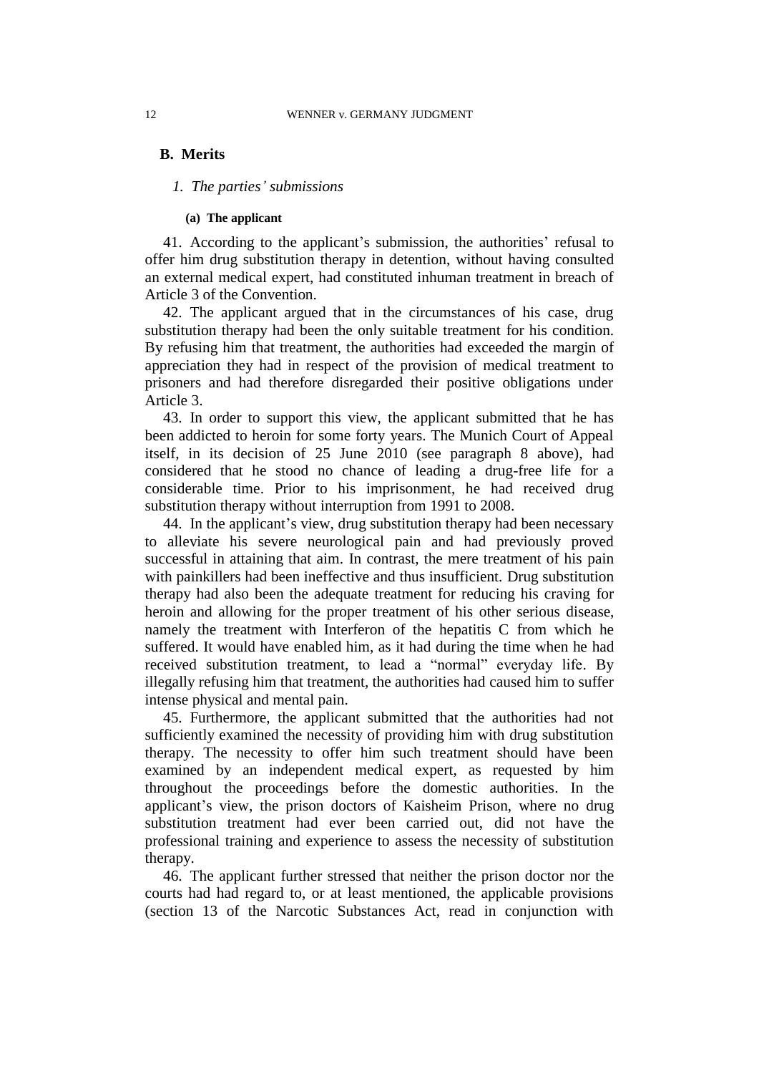## **B. Merits**

## *1. The parties' submissions*

### **(a) The applicant**

41. According to the applicant's submission, the authorities' refusal to offer him drug substitution therapy in detention, without having consulted an external medical expert, had constituted inhuman treatment in breach of Article 3 of the Convention.

42. The applicant argued that in the circumstances of his case, drug substitution therapy had been the only suitable treatment for his condition. By refusing him that treatment, the authorities had exceeded the margin of appreciation they had in respect of the provision of medical treatment to prisoners and had therefore disregarded their positive obligations under Article 3.

43. In order to support this view, the applicant submitted that he has been addicted to heroin for some forty years. The Munich Court of Appeal itself, in its decision of 25 June 2010 (see paragraph 8 above), had considered that he stood no chance of leading a drug-free life for a considerable time. Prior to his imprisonment, he had received drug substitution therapy without interruption from 1991 to 2008.

44. In the applicant's view, drug substitution therapy had been necessary to alleviate his severe neurological pain and had previously proved successful in attaining that aim. In contrast, the mere treatment of his pain with painkillers had been ineffective and thus insufficient. Drug substitution therapy had also been the adequate treatment for reducing his craving for heroin and allowing for the proper treatment of his other serious disease, namely the treatment with Interferon of the hepatitis C from which he suffered. It would have enabled him, as it had during the time when he had received substitution treatment, to lead a "normal" everyday life. By illegally refusing him that treatment, the authorities had caused him to suffer intense physical and mental pain.

45. Furthermore, the applicant submitted that the authorities had not sufficiently examined the necessity of providing him with drug substitution therapy. The necessity to offer him such treatment should have been examined by an independent medical expert, as requested by him throughout the proceedings before the domestic authorities. In the applicant's view, the prison doctors of Kaisheim Prison, where no drug substitution treatment had ever been carried out, did not have the professional training and experience to assess the necessity of substitution therapy.

46. The applicant further stressed that neither the prison doctor nor the courts had had regard to, or at least mentioned, the applicable provisions (section 13 of the Narcotic Substances Act, read in conjunction with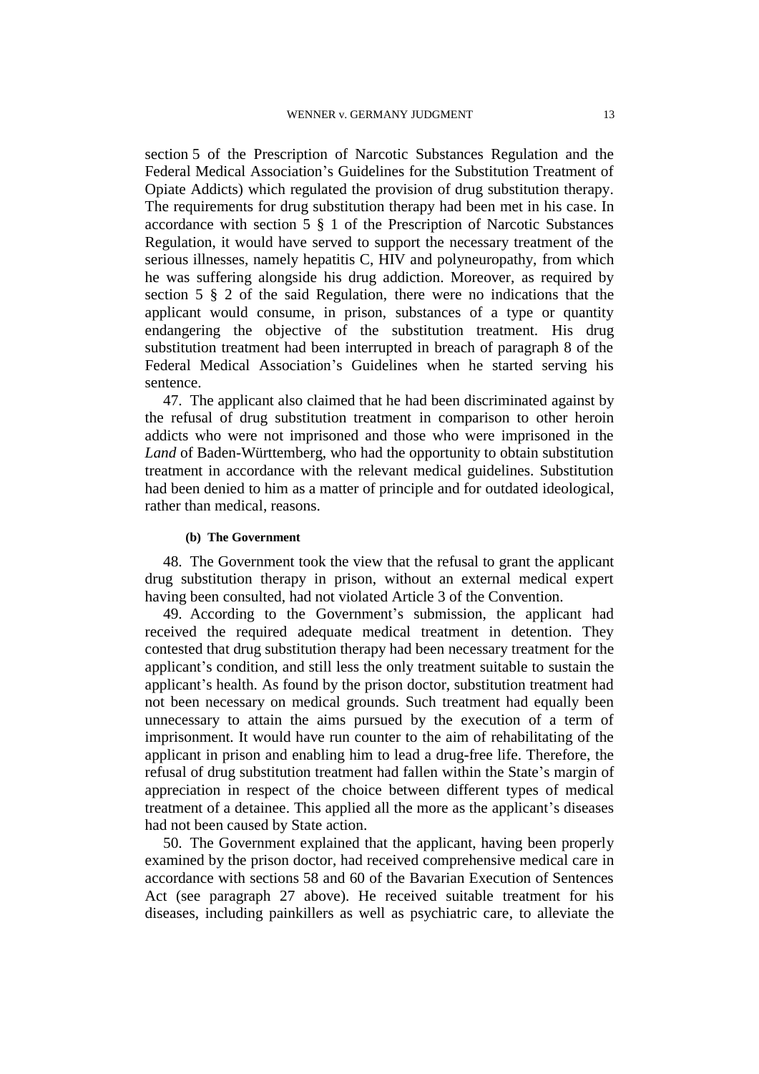section 5 of the Prescription of Narcotic Substances Regulation and the Federal Medical Association's Guidelines for the Substitution Treatment of Opiate Addicts) which regulated the provision of drug substitution therapy. The requirements for drug substitution therapy had been met in his case. In accordance with section 5 § 1 of the Prescription of Narcotic Substances Regulation, it would have served to support the necessary treatment of the serious illnesses, namely hepatitis C, HIV and polyneuropathy, from which he was suffering alongside his drug addiction. Moreover, as required by section 5 § 2 of the said Regulation, there were no indications that the applicant would consume, in prison, substances of a type or quantity endangering the objective of the substitution treatment. His drug substitution treatment had been interrupted in breach of paragraph 8 of the Federal Medical Association's Guidelines when he started serving his sentence.

47. The applicant also claimed that he had been discriminated against by the refusal of drug substitution treatment in comparison to other heroin addicts who were not imprisoned and those who were imprisoned in the *Land* of Baden-Württemberg, who had the opportunity to obtain substitution treatment in accordance with the relevant medical guidelines. Substitution had been denied to him as a matter of principle and for outdated ideological, rather than medical, reasons.

## **(b) The Government**

48. The Government took the view that the refusal to grant the applicant drug substitution therapy in prison, without an external medical expert having been consulted, had not violated Article 3 of the Convention.

49. According to the Government's submission, the applicant had received the required adequate medical treatment in detention. They contested that drug substitution therapy had been necessary treatment for the applicant's condition, and still less the only treatment suitable to sustain the applicant's health. As found by the prison doctor, substitution treatment had not been necessary on medical grounds. Such treatment had equally been unnecessary to attain the aims pursued by the execution of a term of imprisonment. It would have run counter to the aim of rehabilitating of the applicant in prison and enabling him to lead a drug-free life. Therefore, the refusal of drug substitution treatment had fallen within the State's margin of appreciation in respect of the choice between different types of medical treatment of a detainee. This applied all the more as the applicant's diseases had not been caused by State action.

50. The Government explained that the applicant, having been properly examined by the prison doctor, had received comprehensive medical care in accordance with sections 58 and 60 of the Bavarian Execution of Sentences Act (see paragraph 27 above). He received suitable treatment for his diseases, including painkillers as well as psychiatric care, to alleviate the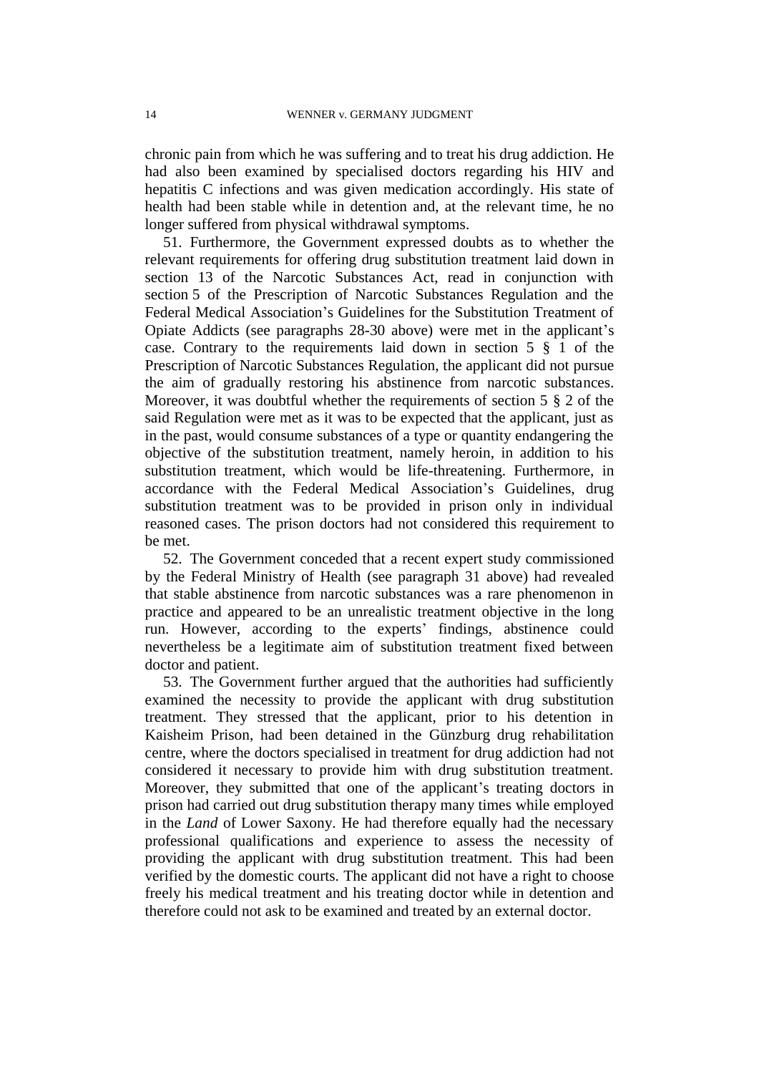chronic pain from which he was suffering and to treat his drug addiction. He had also been examined by specialised doctors regarding his HIV and hepatitis C infections and was given medication accordingly. His state of health had been stable while in detention and, at the relevant time, he no longer suffered from physical withdrawal symptoms.

51. Furthermore, the Government expressed doubts as to whether the relevant requirements for offering drug substitution treatment laid down in section 13 of the Narcotic Substances Act, read in conjunction with section 5 of the Prescription of Narcotic Substances Regulation and the Federal Medical Association's Guidelines for the Substitution Treatment of Opiate Addicts (see paragraphs 28-30 above) were met in the applicant's case. Contrary to the requirements laid down in section 5 § 1 of the Prescription of Narcotic Substances Regulation, the applicant did not pursue the aim of gradually restoring his abstinence from narcotic substances. Moreover, it was doubtful whether the requirements of section 5 § 2 of the said Regulation were met as it was to be expected that the applicant, just as in the past, would consume substances of a type or quantity endangering the objective of the substitution treatment, namely heroin, in addition to his substitution treatment, which would be life-threatening. Furthermore, in accordance with the Federal Medical Association's Guidelines, drug substitution treatment was to be provided in prison only in individual reasoned cases. The prison doctors had not considered this requirement to be met.

52. The Government conceded that a recent expert study commissioned by the Federal Ministry of Health (see paragraph 31 above) had revealed that stable abstinence from narcotic substances was a rare phenomenon in practice and appeared to be an unrealistic treatment objective in the long run. However, according to the experts' findings, abstinence could nevertheless be a legitimate aim of substitution treatment fixed between doctor and patient.

53. The Government further argued that the authorities had sufficiently examined the necessity to provide the applicant with drug substitution treatment. They stressed that the applicant, prior to his detention in Kaisheim Prison, had been detained in the Günzburg drug rehabilitation centre, where the doctors specialised in treatment for drug addiction had not considered it necessary to provide him with drug substitution treatment. Moreover, they submitted that one of the applicant's treating doctors in prison had carried out drug substitution therapy many times while employed in the *Land* of Lower Saxony. He had therefore equally had the necessary professional qualifications and experience to assess the necessity of providing the applicant with drug substitution treatment. This had been verified by the domestic courts. The applicant did not have a right to choose freely his medical treatment and his treating doctor while in detention and therefore could not ask to be examined and treated by an external doctor.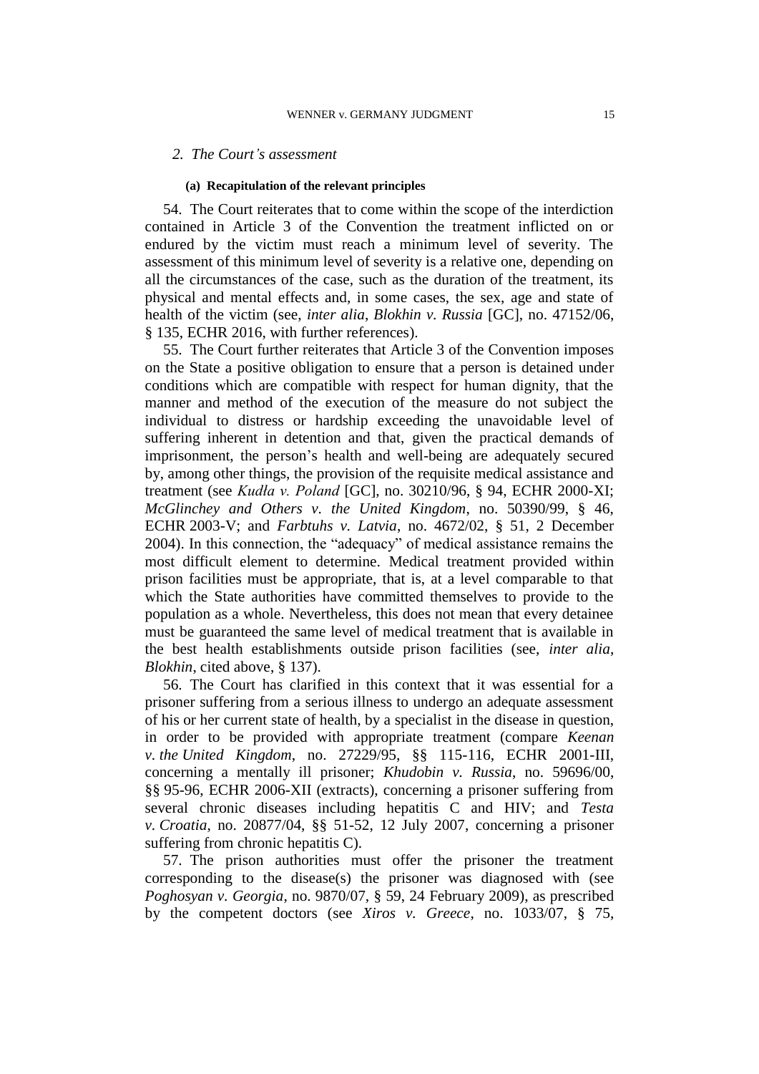### *2. The Court's assessment*

#### **(a) Recapitulation of the relevant principles**

54. The Court reiterates that to come within the scope of the interdiction contained in Article 3 of the Convention the treatment inflicted on or endured by the victim must reach a minimum level of severity. The assessment of this minimum level of severity is a relative one, depending on all the circumstances of the case, such as the duration of the treatment, its physical and mental effects and, in some cases, the sex, age and state of health of the victim (see, *inter alia*, *Blokhin v. Russia* [GC], no. 47152/06, § 135, ECHR 2016, with further references).

55. The Court further reiterates that Article 3 of the Convention imposes on the State a positive obligation to ensure that a person is detained under conditions which are compatible with respect for human dignity, that the manner and method of the execution of the measure do not subject the individual to distress or hardship exceeding the unavoidable level of suffering inherent in detention and that, given the practical demands of imprisonment, the person's health and well-being are adequately secured by, among other things, the provision of the requisite medical assistance and treatment (see *Kudła v. Poland* [GC], no. 30210/96, § 94, ECHR 2000-XI; *McGlinchey and Others v. the United Kingdom*, no. 50390/99, § 46, ECHR 2003-V; and *Farbtuhs v. Latvia*, no. 4672/02, § 51, 2 December 2004). In this connection, the "adequacy" of medical assistance remains the most difficult element to determine. Medical treatment provided within prison facilities must be appropriate, that is, at a level comparable to that which the State authorities have committed themselves to provide to the population as a whole. Nevertheless, this does not mean that every detainee must be guaranteed the same level of medical treatment that is available in the best health establishments outside prison facilities (see, *inter alia*, *Blokhin*, cited above, § 137).

56. The Court has clarified in this context that it was essential for a prisoner suffering from a serious illness to undergo an adequate assessment of his or her current state of health, by a specialist in the disease in question, in order to be provided with appropriate treatment (compare *Keenan v. the United Kingdom*, no. 27229/95, §§ 115-116, ECHR 2001-III, concerning a mentally ill prisoner; *Khudobin v. Russia*, no. 59696/00, §§ 95-96, ECHR 2006-XII (extracts), concerning a prisoner suffering from several chronic diseases including hepatitis C and HIV; and *Testa v. Croatia*, no. 20877/04, §§ 51-52, 12 July 2007, concerning a prisoner suffering from chronic hepatitis C).

57. The prison authorities must offer the prisoner the treatment corresponding to the disease(s) the prisoner was diagnosed with (see *Poghosyan v. Georgia*, no. 9870/07, § 59, 24 February 2009), as prescribed by the competent doctors (see *Xiros v. Greece*, no. 1033/07, § 75,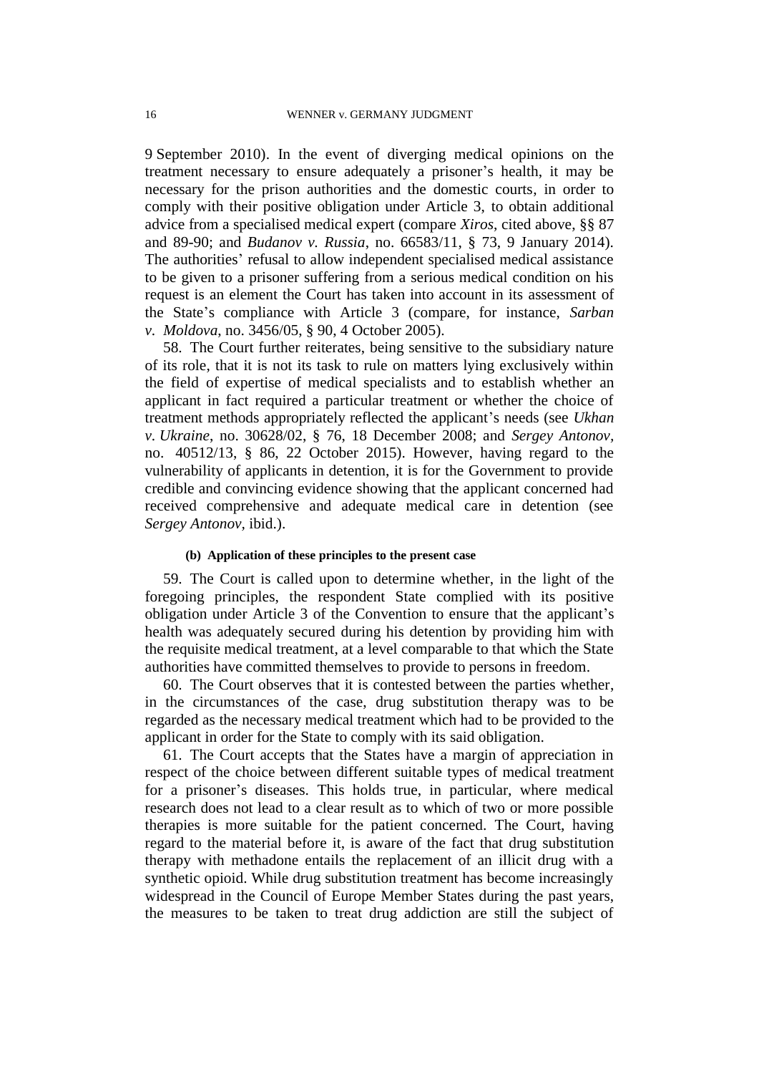9 September 2010). In the event of diverging medical opinions on the treatment necessary to ensure adequately a prisoner's health, it may be necessary for the prison authorities and the domestic courts, in order to comply with their positive obligation under Article 3, to obtain additional advice from a specialised medical expert (compare *Xiros*, cited above, §§ 87 and 89-90; and *Budanov v. Russia*, no. 66583/11, § 73, 9 January 2014). The authorities' refusal to allow independent specialised medical assistance to be given to a prisoner suffering from a serious medical condition on his request is an element the Court has taken into account in its assessment of the State's compliance with Article 3 (compare, for instance, *Sarban v. Moldova*, no. 3456/05, § 90, 4 October 2005).

58. The Court further reiterates, being sensitive to the subsidiary nature of its role, that it is not its task to rule on matters lying exclusively within the field of expertise of medical specialists and to establish whether an applicant in fact required a particular treatment or whether the choice of treatment methods appropriately reflected the applicant's needs (see *Ukhan v. Ukraine*, no. 30628/02, § 76, 18 December 2008; and *Sergey Antonov,* no. 40512/13, § 86, 22 October 2015). However, having regard to the vulnerability of applicants in detention, it is for the Government to provide credible and convincing evidence showing that the applicant concerned had received comprehensive and adequate medical care in detention (see *Sergey Antonov,* ibid.).

### **(b) Application of these principles to the present case**

59. The Court is called upon to determine whether, in the light of the foregoing principles, the respondent State complied with its positive obligation under Article 3 of the Convention to ensure that the applicant's health was adequately secured during his detention by providing him with the requisite medical treatment, at a level comparable to that which the State authorities have committed themselves to provide to persons in freedom.

60. The Court observes that it is contested between the parties whether, in the circumstances of the case, drug substitution therapy was to be regarded as the necessary medical treatment which had to be provided to the applicant in order for the State to comply with its said obligation.

61. The Court accepts that the States have a margin of appreciation in respect of the choice between different suitable types of medical treatment for a prisoner's diseases. This holds true, in particular, where medical research does not lead to a clear result as to which of two or more possible therapies is more suitable for the patient concerned. The Court, having regard to the material before it, is aware of the fact that drug substitution therapy with methadone entails the replacement of an illicit drug with a synthetic opioid. While drug substitution treatment has become increasingly widespread in the Council of Europe Member States during the past years, the measures to be taken to treat drug addiction are still the subject of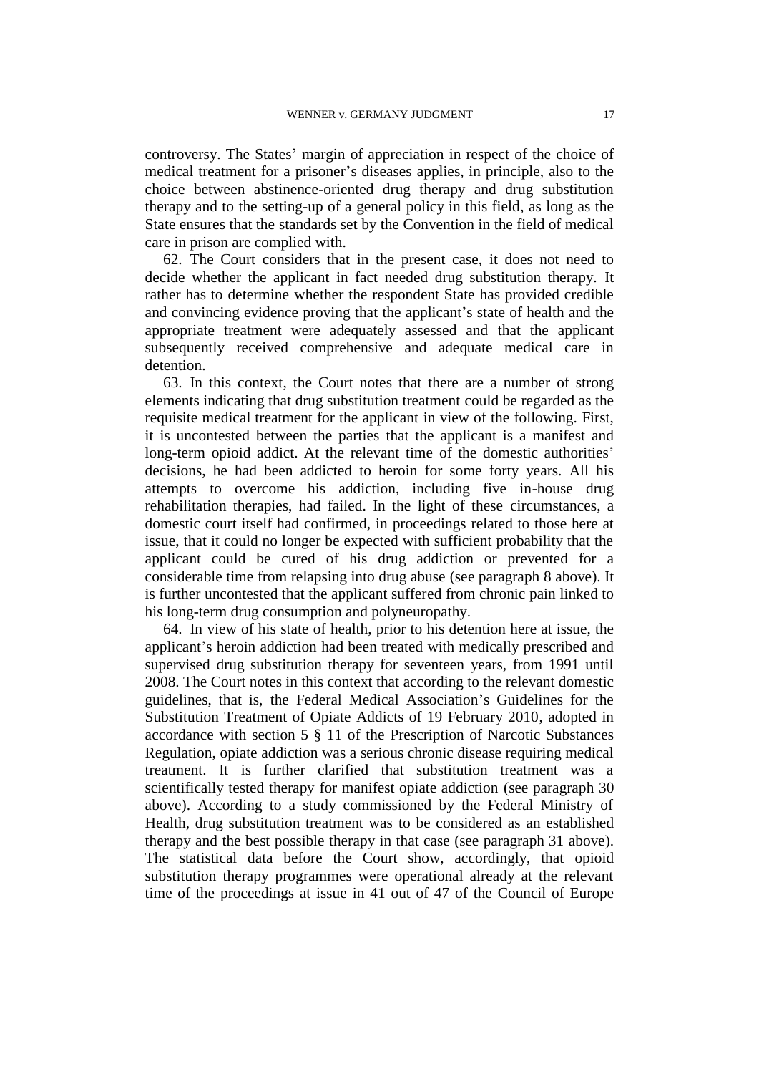controversy. The States' margin of appreciation in respect of the choice of medical treatment for a prisoner's diseases applies, in principle, also to the choice between abstinence-oriented drug therapy and drug substitution therapy and to the setting-up of a general policy in this field, as long as the State ensures that the standards set by the Convention in the field of medical care in prison are complied with.

62. The Court considers that in the present case, it does not need to decide whether the applicant in fact needed drug substitution therapy. It rather has to determine whether the respondent State has provided credible and convincing evidence proving that the applicant's state of health and the appropriate treatment were adequately assessed and that the applicant subsequently received comprehensive and adequate medical care in detention.

63. In this context, the Court notes that there are a number of strong elements indicating that drug substitution treatment could be regarded as the requisite medical treatment for the applicant in view of the following. First, it is uncontested between the parties that the applicant is a manifest and long-term opioid addict. At the relevant time of the domestic authorities' decisions, he had been addicted to heroin for some forty years. All his attempts to overcome his addiction, including five in-house drug rehabilitation therapies, had failed. In the light of these circumstances, a domestic court itself had confirmed, in proceedings related to those here at issue, that it could no longer be expected with sufficient probability that the applicant could be cured of his drug addiction or prevented for a considerable time from relapsing into drug abuse (see paragraph 8 above). It is further uncontested that the applicant suffered from chronic pain linked to his long-term drug consumption and polyneuropathy.

64. In view of his state of health, prior to his detention here at issue, the applicant's heroin addiction had been treated with medically prescribed and supervised drug substitution therapy for seventeen years, from 1991 until 2008. The Court notes in this context that according to the relevant domestic guidelines, that is, the Federal Medical Association's Guidelines for the Substitution Treatment of Opiate Addicts of 19 February 2010, adopted in accordance with section 5 § 11 of the Prescription of Narcotic Substances Regulation, opiate addiction was a serious chronic disease requiring medical treatment. It is further clarified that substitution treatment was a scientifically tested therapy for manifest opiate addiction (see paragraph 30 above). According to a study commissioned by the Federal Ministry of Health, drug substitution treatment was to be considered as an established therapy and the best possible therapy in that case (see paragraph 31 above). The statistical data before the Court show, accordingly, that opioid substitution therapy programmes were operational already at the relevant time of the proceedings at issue in 41 out of 47 of the Council of Europe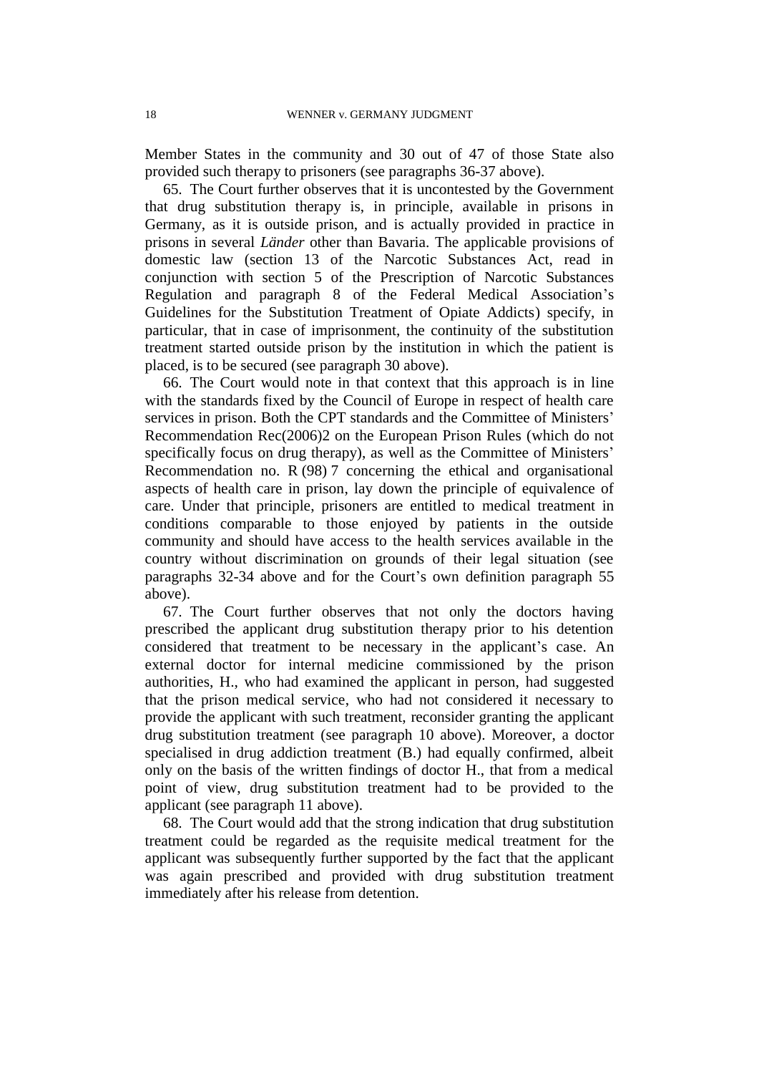Member States in the community and 30 out of 47 of those State also provided such therapy to prisoners (see paragraphs 36-37 above).

65. The Court further observes that it is uncontested by the Government that drug substitution therapy is, in principle, available in prisons in Germany, as it is outside prison, and is actually provided in practice in prisons in several *Länder* other than Bavaria. The applicable provisions of domestic law (section 13 of the Narcotic Substances Act, read in conjunction with section 5 of the Prescription of Narcotic Substances Regulation and paragraph 8 of the Federal Medical Association's Guidelines for the Substitution Treatment of Opiate Addicts) specify, in particular, that in case of imprisonment, the continuity of the substitution treatment started outside prison by the institution in which the patient is placed, is to be secured (see paragraph 30 above).

66. The Court would note in that context that this approach is in line with the standards fixed by the Council of Europe in respect of health care services in prison. Both the CPT standards and the Committee of Ministers' Recommendation Rec(2006)2 on the European Prison Rules (which do not specifically focus on drug therapy), as well as the Committee of Ministers' Recommendation no. R (98) 7 concerning the ethical and organisational aspects of health care in prison, lay down the principle of equivalence of care. Under that principle, prisoners are entitled to medical treatment in conditions comparable to those enjoyed by patients in the outside community and should have access to the health services available in the country without discrimination on grounds of their legal situation (see paragraphs 32-34 above and for the Court's own definition paragraph 55 above).

67. The Court further observes that not only the doctors having prescribed the applicant drug substitution therapy prior to his detention considered that treatment to be necessary in the applicant's case. An external doctor for internal medicine commissioned by the prison authorities, H., who had examined the applicant in person, had suggested that the prison medical service, who had not considered it necessary to provide the applicant with such treatment, reconsider granting the applicant drug substitution treatment (see paragraph 10 above). Moreover, a doctor specialised in drug addiction treatment (B.) had equally confirmed, albeit only on the basis of the written findings of doctor H., that from a medical point of view, drug substitution treatment had to be provided to the applicant (see paragraph 11 above).

68. The Court would add that the strong indication that drug substitution treatment could be regarded as the requisite medical treatment for the applicant was subsequently further supported by the fact that the applicant was again prescribed and provided with drug substitution treatment immediately after his release from detention.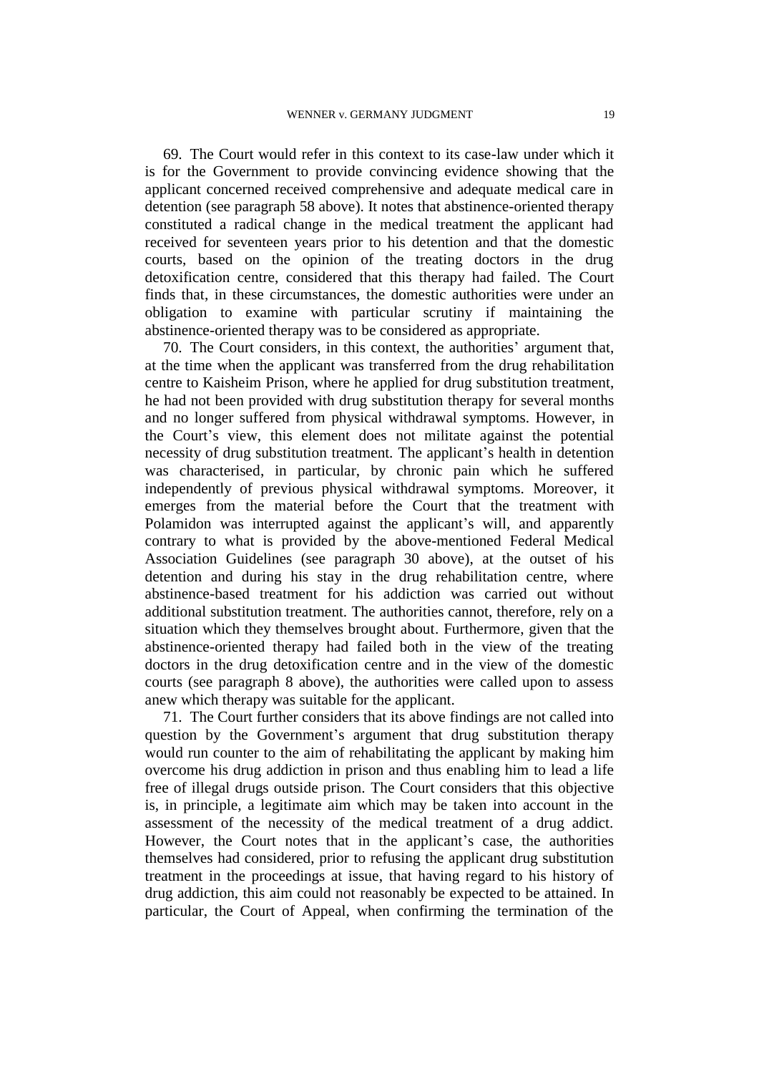69. The Court would refer in this context to its case-law under which it is for the Government to provide convincing evidence showing that the applicant concerned received comprehensive and adequate medical care in detention (see paragraph 58 above). It notes that abstinence-oriented therapy constituted a radical change in the medical treatment the applicant had received for seventeen years prior to his detention and that the domestic courts, based on the opinion of the treating doctors in the drug detoxification centre, considered that this therapy had failed. The Court finds that, in these circumstances, the domestic authorities were under an obligation to examine with particular scrutiny if maintaining the abstinence-oriented therapy was to be considered as appropriate.

70. The Court considers, in this context, the authorities' argument that, at the time when the applicant was transferred from the drug rehabilitation centre to Kaisheim Prison, where he applied for drug substitution treatment, he had not been provided with drug substitution therapy for several months and no longer suffered from physical withdrawal symptoms. However, in the Court's view, this element does not militate against the potential necessity of drug substitution treatment. The applicant's health in detention was characterised, in particular, by chronic pain which he suffered independently of previous physical withdrawal symptoms. Moreover, it emerges from the material before the Court that the treatment with Polamidon was interrupted against the applicant's will, and apparently contrary to what is provided by the above-mentioned Federal Medical Association Guidelines (see paragraph 30 above), at the outset of his detention and during his stay in the drug rehabilitation centre, where abstinence-based treatment for his addiction was carried out without additional substitution treatment. The authorities cannot, therefore, rely on a situation which they themselves brought about. Furthermore, given that the abstinence-oriented therapy had failed both in the view of the treating doctors in the drug detoxification centre and in the view of the domestic courts (see paragraph 8 above), the authorities were called upon to assess anew which therapy was suitable for the applicant.

71. The Court further considers that its above findings are not called into question by the Government's argument that drug substitution therapy would run counter to the aim of rehabilitating the applicant by making him overcome his drug addiction in prison and thus enabling him to lead a life free of illegal drugs outside prison. The Court considers that this objective is, in principle, a legitimate aim which may be taken into account in the assessment of the necessity of the medical treatment of a drug addict. However, the Court notes that in the applicant's case, the authorities themselves had considered, prior to refusing the applicant drug substitution treatment in the proceedings at issue, that having regard to his history of drug addiction, this aim could not reasonably be expected to be attained. In particular, the Court of Appeal, when confirming the termination of the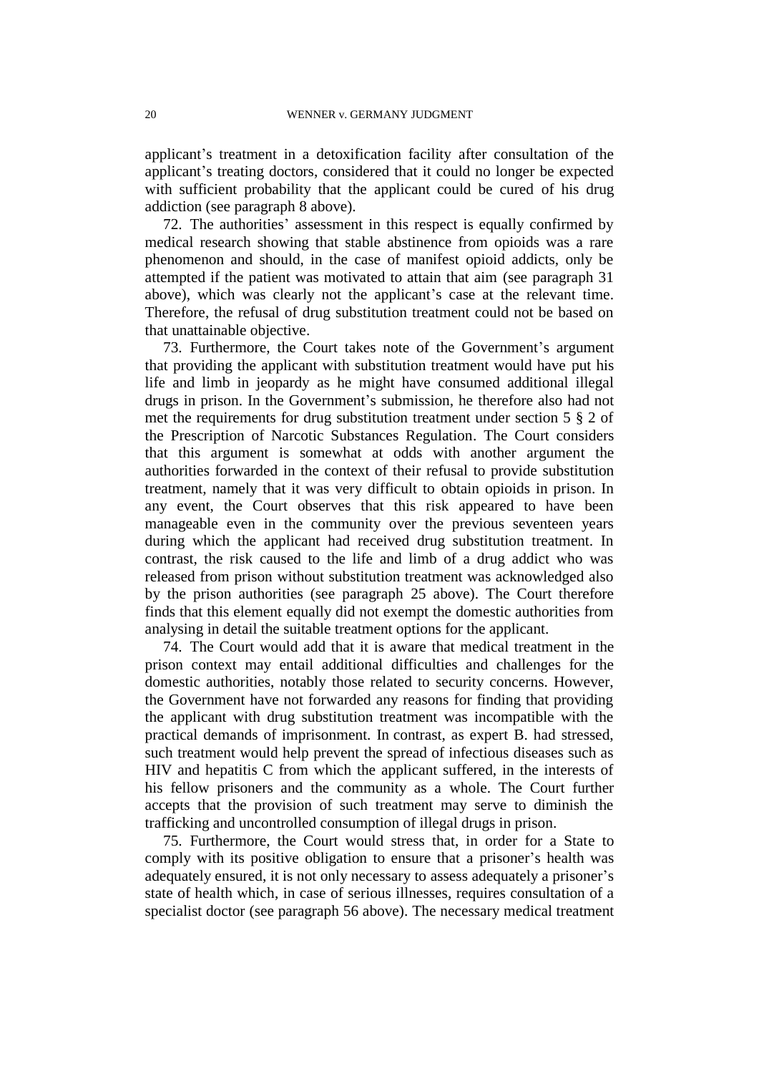applicant's treatment in a detoxification facility after consultation of the applicant's treating doctors, considered that it could no longer be expected with sufficient probability that the applicant could be cured of his drug addiction (see paragraph 8 above).

72. The authorities' assessment in this respect is equally confirmed by medical research showing that stable abstinence from opioids was a rare phenomenon and should, in the case of manifest opioid addicts, only be attempted if the patient was motivated to attain that aim (see paragraph 31 above), which was clearly not the applicant's case at the relevant time. Therefore, the refusal of drug substitution treatment could not be based on that unattainable objective.

73. Furthermore, the Court takes note of the Government's argument that providing the applicant with substitution treatment would have put his life and limb in jeopardy as he might have consumed additional illegal drugs in prison. In the Government's submission, he therefore also had not met the requirements for drug substitution treatment under section 5 § 2 of the Prescription of Narcotic Substances Regulation. The Court considers that this argument is somewhat at odds with another argument the authorities forwarded in the context of their refusal to provide substitution treatment, namely that it was very difficult to obtain opioids in prison. In any event, the Court observes that this risk appeared to have been manageable even in the community over the previous seventeen years during which the applicant had received drug substitution treatment. In contrast, the risk caused to the life and limb of a drug addict who was released from prison without substitution treatment was acknowledged also by the prison authorities (see paragraph 25 above). The Court therefore finds that this element equally did not exempt the domestic authorities from analysing in detail the suitable treatment options for the applicant.

74. The Court would add that it is aware that medical treatment in the prison context may entail additional difficulties and challenges for the domestic authorities, notably those related to security concerns. However, the Government have not forwarded any reasons for finding that providing the applicant with drug substitution treatment was incompatible with the practical demands of imprisonment. In contrast, as expert B. had stressed, such treatment would help prevent the spread of infectious diseases such as HIV and hepatitis C from which the applicant suffered, in the interests of his fellow prisoners and the community as a whole. The Court further accepts that the provision of such treatment may serve to diminish the trafficking and uncontrolled consumption of illegal drugs in prison.

75. Furthermore, the Court would stress that, in order for a State to comply with its positive obligation to ensure that a prisoner's health was adequately ensured, it is not only necessary to assess adequately a prisoner's state of health which, in case of serious illnesses, requires consultation of a specialist doctor (see paragraph 56 above). The necessary medical treatment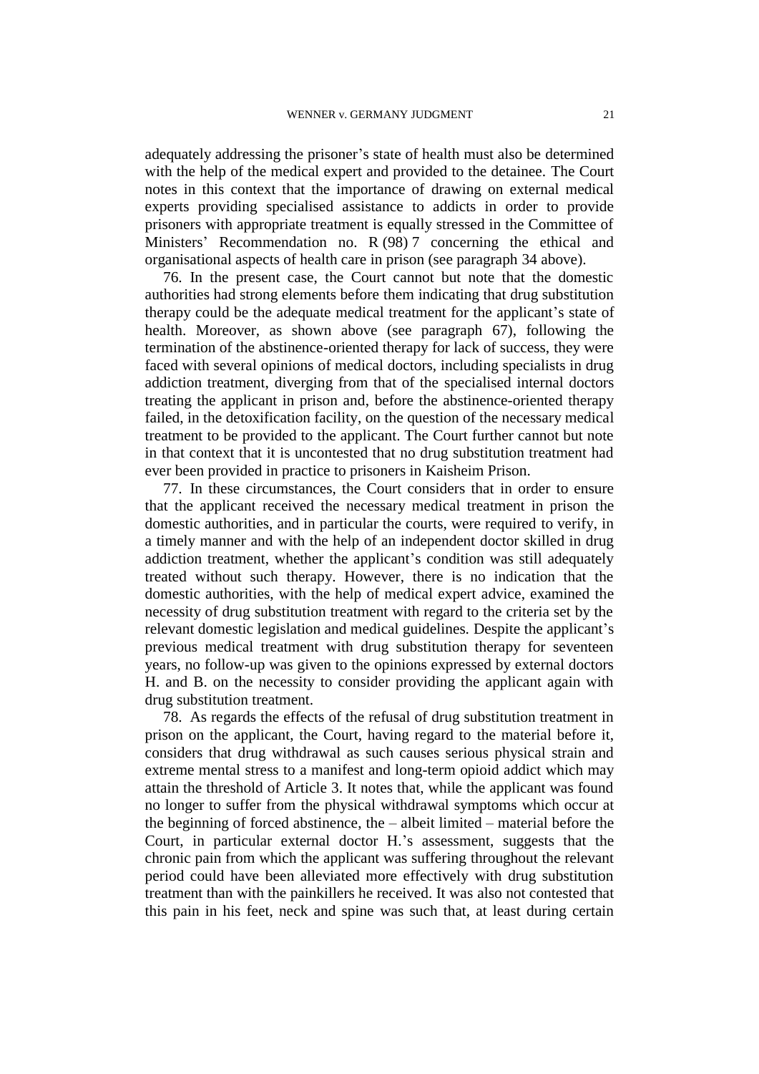adequately addressing the prisoner's state of health must also be determined with the help of the medical expert and provided to the detainee. The Court notes in this context that the importance of drawing on external medical experts providing specialised assistance to addicts in order to provide prisoners with appropriate treatment is equally stressed in the Committee of Ministers' Recommendation no. R (98) 7 concerning the ethical and organisational aspects of health care in prison (see paragraph 34 above).

76. In the present case, the Court cannot but note that the domestic authorities had strong elements before them indicating that drug substitution therapy could be the adequate medical treatment for the applicant's state of health. Moreover, as shown above (see paragraph 67), following the termination of the abstinence-oriented therapy for lack of success, they were faced with several opinions of medical doctors, including specialists in drug addiction treatment, diverging from that of the specialised internal doctors treating the applicant in prison and, before the abstinence-oriented therapy failed, in the detoxification facility, on the question of the necessary medical treatment to be provided to the applicant. The Court further cannot but note in that context that it is uncontested that no drug substitution treatment had ever been provided in practice to prisoners in Kaisheim Prison.

77. In these circumstances, the Court considers that in order to ensure that the applicant received the necessary medical treatment in prison the domestic authorities, and in particular the courts, were required to verify, in a timely manner and with the help of an independent doctor skilled in drug addiction treatment, whether the applicant's condition was still adequately treated without such therapy. However, there is no indication that the domestic authorities, with the help of medical expert advice, examined the necessity of drug substitution treatment with regard to the criteria set by the relevant domestic legislation and medical guidelines. Despite the applicant's previous medical treatment with drug substitution therapy for seventeen years, no follow-up was given to the opinions expressed by external doctors H. and B. on the necessity to consider providing the applicant again with drug substitution treatment.

78. As regards the effects of the refusal of drug substitution treatment in prison on the applicant, the Court, having regard to the material before it, considers that drug withdrawal as such causes serious physical strain and extreme mental stress to a manifest and long-term opioid addict which may attain the threshold of Article 3. It notes that, while the applicant was found no longer to suffer from the physical withdrawal symptoms which occur at the beginning of forced abstinence, the – albeit limited – material before the Court, in particular external doctor H.'s assessment, suggests that the chronic pain from which the applicant was suffering throughout the relevant period could have been alleviated more effectively with drug substitution treatment than with the painkillers he received. It was also not contested that this pain in his feet, neck and spine was such that, at least during certain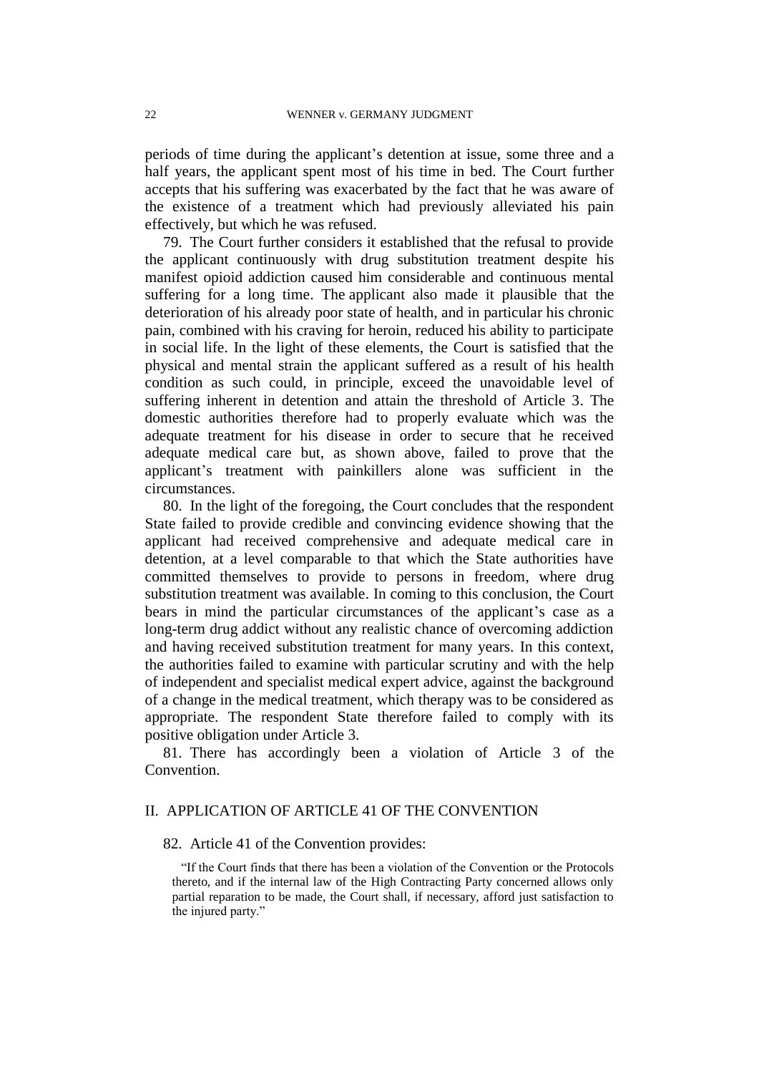periods of time during the applicant's detention at issue, some three and a half years, the applicant spent most of his time in bed. The Court further accepts that his suffering was exacerbated by the fact that he was aware of the existence of a treatment which had previously alleviated his pain effectively, but which he was refused.

79. The Court further considers it established that the refusal to provide the applicant continuously with drug substitution treatment despite his manifest opioid addiction caused him considerable and continuous mental suffering for a long time. The applicant also made it plausible that the deterioration of his already poor state of health, and in particular his chronic pain, combined with his craving for heroin, reduced his ability to participate in social life. In the light of these elements, the Court is satisfied that the physical and mental strain the applicant suffered as a result of his health condition as such could, in principle, exceed the unavoidable level of suffering inherent in detention and attain the threshold of Article 3. The domestic authorities therefore had to properly evaluate which was the adequate treatment for his disease in order to secure that he received adequate medical care but, as shown above, failed to prove that the applicant's treatment with painkillers alone was sufficient in the circumstances.

80. In the light of the foregoing, the Court concludes that the respondent State failed to provide credible and convincing evidence showing that the applicant had received comprehensive and adequate medical care in detention, at a level comparable to that which the State authorities have committed themselves to provide to persons in freedom, where drug substitution treatment was available. In coming to this conclusion, the Court bears in mind the particular circumstances of the applicant's case as a long-term drug addict without any realistic chance of overcoming addiction and having received substitution treatment for many years. In this context, the authorities failed to examine with particular scrutiny and with the help of independent and specialist medical expert advice, against the background of a change in the medical treatment, which therapy was to be considered as appropriate. The respondent State therefore failed to comply with its positive obligation under Article 3.

81. There has accordingly been a violation of Article 3 of the Convention.

# II. APPLICATION OF ARTICLE 41 OF THE CONVENTION

### 82. Article 41 of the Convention provides:

"If the Court finds that there has been a violation of the Convention or the Protocols thereto, and if the internal law of the High Contracting Party concerned allows only partial reparation to be made, the Court shall, if necessary, afford just satisfaction to the injured party."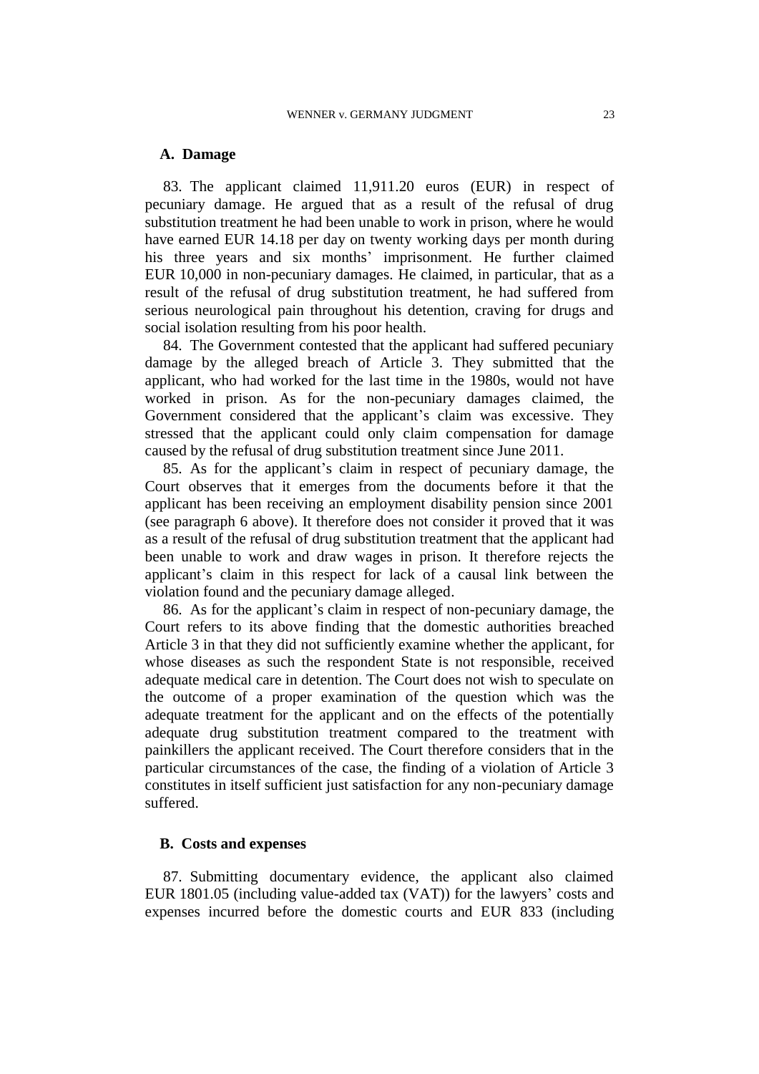### **A. Damage**

83. The applicant claimed 11,911.20 euros (EUR) in respect of pecuniary damage. He argued that as a result of the refusal of drug substitution treatment he had been unable to work in prison, where he would have earned EUR 14.18 per day on twenty working days per month during his three years and six months' imprisonment. He further claimed EUR 10,000 in non-pecuniary damages. He claimed, in particular, that as a result of the refusal of drug substitution treatment, he had suffered from serious neurological pain throughout his detention, craving for drugs and social isolation resulting from his poor health.

84. The Government contested that the applicant had suffered pecuniary damage by the alleged breach of Article 3. They submitted that the applicant, who had worked for the last time in the 1980s, would not have worked in prison. As for the non-pecuniary damages claimed, the Government considered that the applicant's claim was excessive. They stressed that the applicant could only claim compensation for damage caused by the refusal of drug substitution treatment since June 2011.

85. As for the applicant's claim in respect of pecuniary damage, the Court observes that it emerges from the documents before it that the applicant has been receiving an employment disability pension since 2001 (see paragraph 6 above). It therefore does not consider it proved that it was as a result of the refusal of drug substitution treatment that the applicant had been unable to work and draw wages in prison. It therefore rejects the applicant's claim in this respect for lack of a causal link between the violation found and the pecuniary damage alleged.

86. As for the applicant's claim in respect of non-pecuniary damage, the Court refers to its above finding that the domestic authorities breached Article 3 in that they did not sufficiently examine whether the applicant, for whose diseases as such the respondent State is not responsible, received adequate medical care in detention. The Court does not wish to speculate on the outcome of a proper examination of the question which was the adequate treatment for the applicant and on the effects of the potentially adequate drug substitution treatment compared to the treatment with painkillers the applicant received. The Court therefore considers that in the particular circumstances of the case, the finding of a violation of Article 3 constitutes in itself sufficient just satisfaction for any non-pecuniary damage suffered.

## **B. Costs and expenses**

87. Submitting documentary evidence, the applicant also claimed EUR 1801.05 (including value-added tax (VAT)) for the lawyers' costs and expenses incurred before the domestic courts and EUR 833 (including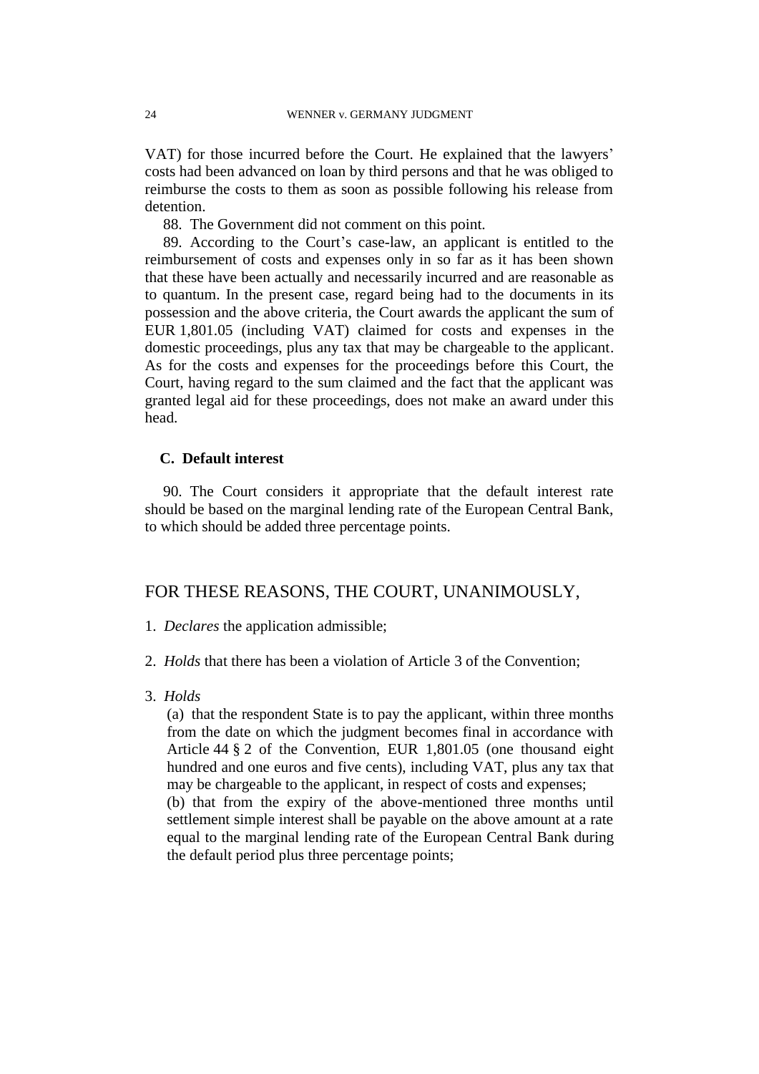VAT) for those incurred before the Court. He explained that the lawyers' costs had been advanced on loan by third persons and that he was obliged to reimburse the costs to them as soon as possible following his release from detention.

88. The Government did not comment on this point.

89. According to the Court's case-law, an applicant is entitled to the reimbursement of costs and expenses only in so far as it has been shown that these have been actually and necessarily incurred and are reasonable as to quantum. In the present case, regard being had to the documents in its possession and the above criteria, the Court awards the applicant the sum of EUR 1,801.05 (including VAT) claimed for costs and expenses in the domestic proceedings, plus any tax that may be chargeable to the applicant. As for the costs and expenses for the proceedings before this Court, the Court, having regard to the sum claimed and the fact that the applicant was granted legal aid for these proceedings, does not make an award under this head.

# **C. Default interest**

90. The Court considers it appropriate that the default interest rate should be based on the marginal lending rate of the European Central Bank, to which should be added three percentage points.

# FOR THESE REASONS, THE COURT, UNANIMOUSLY,

- 1. *Declares* the application admissible;
- 2. *Holds* that there has been a violation of Article 3 of the Convention;
- 3. *Holds*

(a) that the respondent State is to pay the applicant, within three months from the date on which the judgment becomes final in accordance with Article 44 § 2 of the Convention, EUR 1,801.05 (one thousand eight hundred and one euros and five cents), including VAT, plus any tax that may be chargeable to the applicant, in respect of costs and expenses; (b) that from the expiry of the above-mentioned three months until settlement simple interest shall be payable on the above amount at a rate

equal to the marginal lending rate of the European Central Bank during the default period plus three percentage points;